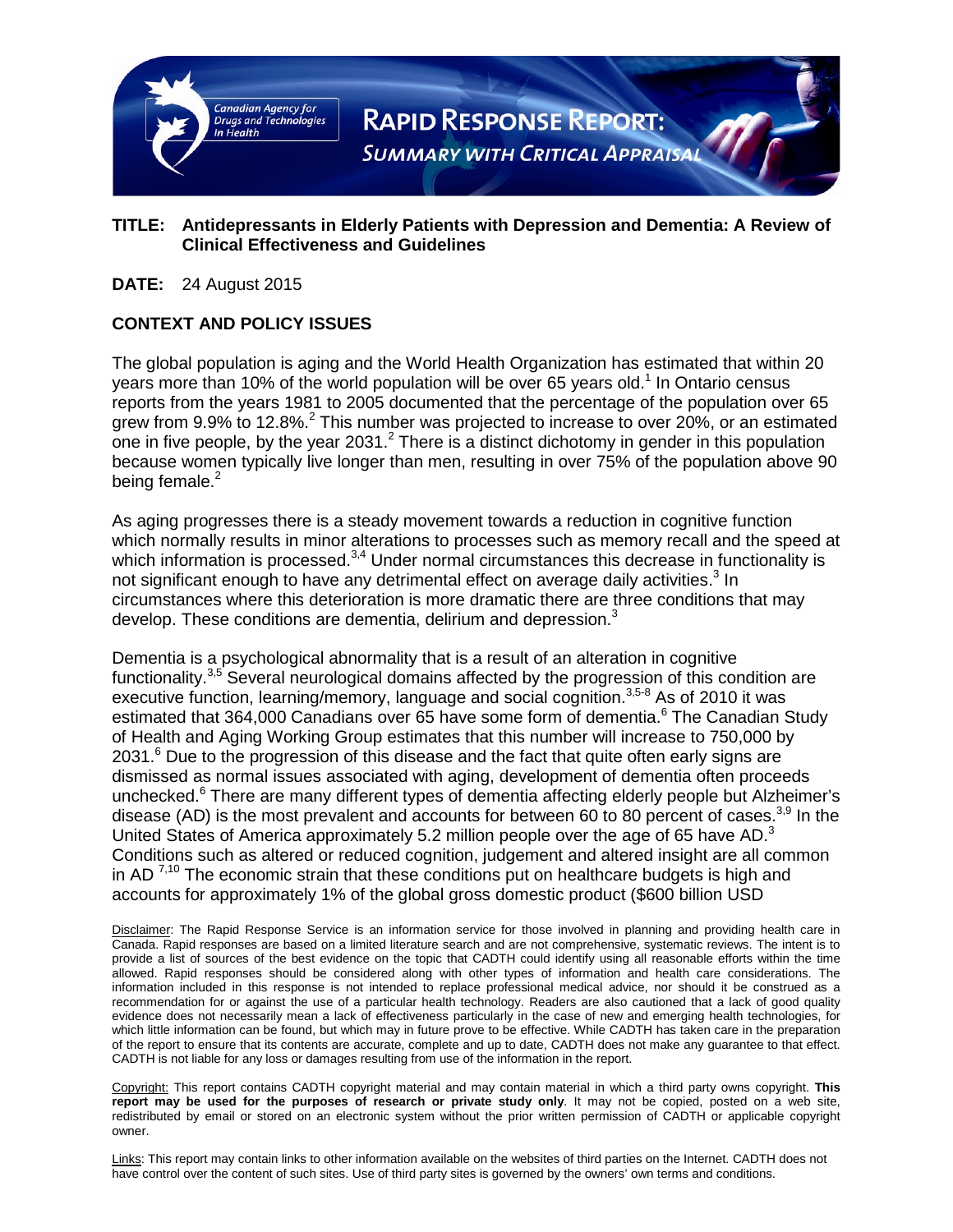

# **TITLE: Antidepressants in Elderly Patients with Depression and Dementia: A Review of Clinical Effectiveness and Guidelines**

**DATE:** 24 August 2015

# **CONTEXT AND POLICY ISSUES**

The global population is aging and the World Health Organization has estimated that within 20 years more than 10% of the world population will be over 65 years old.<sup>1</sup> In Ontario census reports from the years 1981 to 2005 documented that the percentage of the population over 65 grew from 9.9% to 12.8%.<sup>2</sup> This number was projected to increase to over 20%, or an estimated one in five people, by the year 2031.<sup>2</sup> There is a distinct dichotomy in gender in this population because women typically live longer than men, resulting in over 75% of the population above 90 being female. $2$ 

As aging progresses there is a steady movement towards a reduction in cognitive function which normally results in minor alterations to processes such as memory recall and the speed at which information is processed.<sup>3,4</sup> Under normal circumstances this decrease in functionality is not significant enough to have any detrimental effect on average daily activities.<sup>3</sup> In circumstances where this deterioration is more dramatic there are three conditions that may develop. These conditions are dementia, delirium and depression. $3$ 

Dementia is a psychological abnormality that is a result of an alteration in cognitive functionality.<sup>3,5</sup> Several neurological domains affected by the progression of this condition are executive function, learning/memory, language and social cognition.<sup>3,5-8</sup> As of 2010 it was estimated that 364,000 Canadians over 65 have some form of dementia.<sup>6</sup> The Canadian Study of Health and Aging Working Group estimates that this number will increase to 750,000 by  $2031<sup>6</sup>$  Due to the progression of this disease and the fact that quite often early signs are dismissed as normal issues associated with aging, development of dementia often proceeds unchecked.<sup>6</sup> There are many different types of dementia affecting elderly people but Alzheimer's disease (AD) is the most prevalent and accounts for between 60 to 80 percent of cases.<sup>3,9</sup> In the United States of America approximately 5.2 million people over the age of 65 have AD. $3$ Conditions such as altered or reduced cognition, judgement and altered insight are all common in AD  $^{7,10}$  The economic strain that these conditions put on healthcare budgets is high and accounts for approximately 1% of the global gross domestic product (\$600 billion USD

Disclaimer: The Rapid Response Service is an information service for those involved in planning and providing health care in Canada. Rapid responses are based on a limited literature search and are not comprehensive, systematic reviews. The intent is to provide a list of sources of the best evidence on the topic that CADTH could identify using all reasonable efforts within the time allowed. Rapid responses should be considered along with other types of information and health care considerations. The information included in this response is not intended to replace professional medical advice, nor should it be construed as a recommendation for or against the use of a particular health technology. Readers are also cautioned that a lack of good quality evidence does not necessarily mean a lack of effectiveness particularly in the case of new and emerging health technologies, for which little information can be found, but which may in future prove to be effective. While CADTH has taken care in the preparation of the report to ensure that its contents are accurate, complete and up to date, CADTH does not make any guarantee to that effect. CADTH is not liable for any loss or damages resulting from use of the information in the report.

Copyright: This report contains CADTH copyright material and may contain material in which a third party owns copyright. **This report may be used for the purposes of research or private study only**. It may not be copied, posted on a web site, redistributed by email or stored on an electronic system without the prior written permission of CADTH or applicable copyright owner.

Links: This report may contain links to other information available on the websites of third parties on the Internet. CADTH does not have control over the content of such sites. Use of third party sites is governed by the owners' own terms and conditions.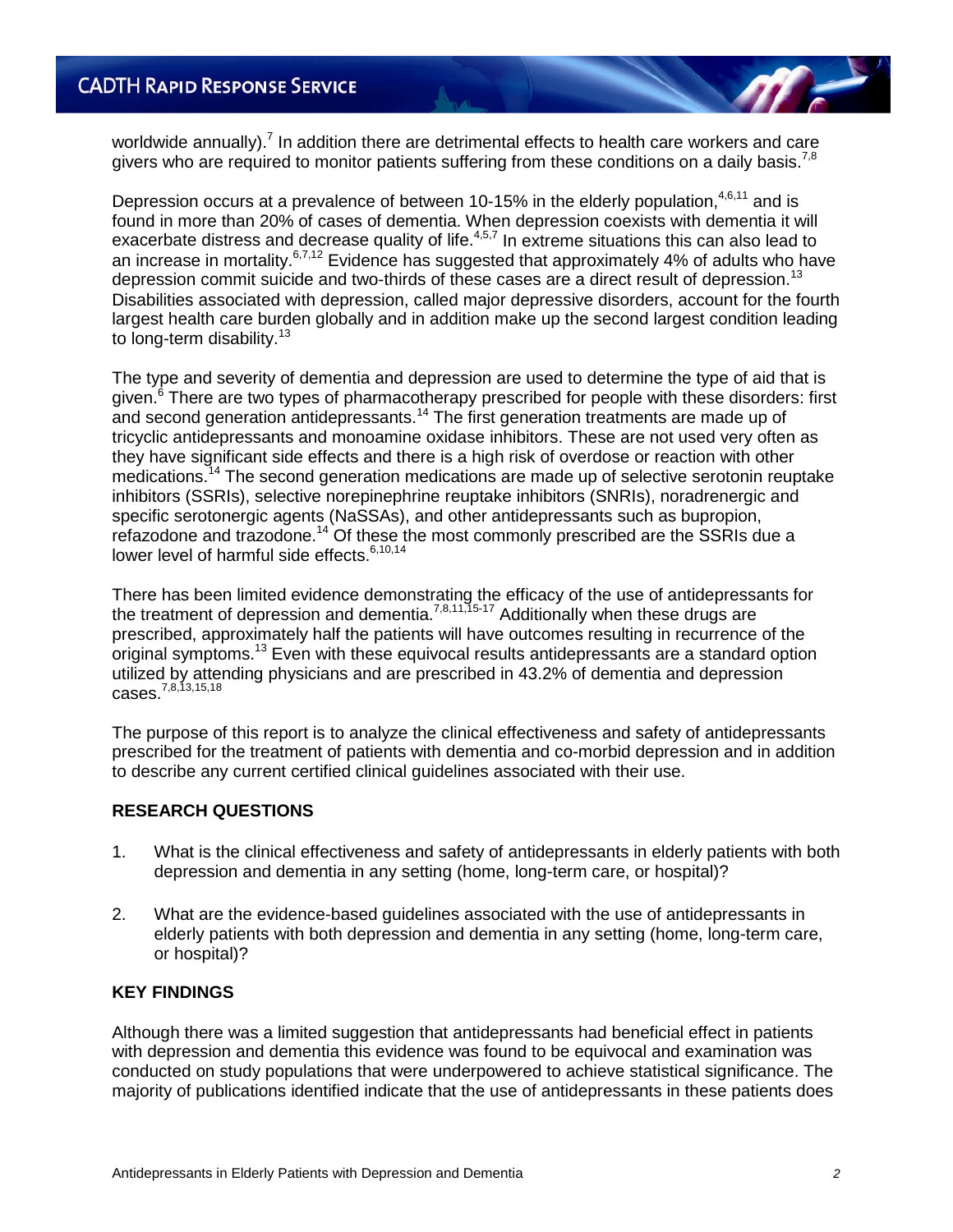worldwide annually).<sup>7</sup> In addition there are detrimental effects to health care workers and care givers who are required to monitor patients suffering from these conditions on a daily basis.<sup>7,8</sup>

Depression occurs at a prevalence of between 10-15% in the elderly population,  $4,6,11$  and is found in more than 20% of cases of dementia. When depression coexists with dementia it will exacerbate distress and decrease quality of life.4,5,7 In extreme situations this can also lead to an increase in mortality.6,7,12 Evidence has suggested that approximately 4% of adults who have depression commit suicide and two-thirds of these cases are a direct result of depression.<sup>13</sup> Disabilities associated with depression, called major depressive disorders, account for the fourth largest health care burden globally and in addition make up the second largest condition leading to long-term disability.<sup>13</sup>

The type and severity of dementia and depression are used to determine the type of aid that is given.<sup>6</sup> There are two types of pharmacotherapy prescribed for people with these disorders: first and second generation antidepressants.<sup>14</sup> The first generation treatments are made up of tricyclic antidepressants and monoamine oxidase inhibitors. These are not used very often as they have significant side effects and there is a high risk of overdose or reaction with other medications.<sup>14</sup> The second generation medications are made up of selective serotonin reuptake inhibitors (SSRIs), selective norepinephrine reuptake inhibitors (SNRIs), noradrenergic and specific serotonergic agents (NaSSAs), and other antidepressants such as bupropion, refazodone and trazodone.<sup>14</sup> Of these the most commonly prescribed are the SSRIs due a lower level of harmful side effects.<sup>6,10,14</sup>

There has been limited evidence demonstrating the efficacy of the use of antidepressants for the treatment of depression and dementia.<sup>7,8,11,15-17</sup> Additionally when these drugs are prescribed, approximately half the patients will have outcomes resulting in recurrence of the original symptoms.<sup>13</sup> Even with these equivocal results antidepressants are a standard option utilized by attending physicians and are prescribed in 43.2% of dementia and depression cases.<sup>7,8,13,15,18</sup>

The purpose of this report is to analyze the clinical effectiveness and safety of antidepressants prescribed for the treatment of patients with dementia and co-morbid depression and in addition to describe any current certified clinical guidelines associated with their use.

# **RESEARCH QUESTIONS**

- 1. What is the clinical effectiveness and safety of antidepressants in elderly patients with both depression and dementia in any setting (home, long-term care, or hospital)?
- 2. What are the evidence-based guidelines associated with the use of antidepressants in elderly patients with both depression and dementia in any setting (home, long-term care, or hospital)?

# **KEY FINDINGS**

Although there was a limited suggestion that antidepressants had beneficial effect in patients with depression and dementia this evidence was found to be equivocal and examination was conducted on study populations that were underpowered to achieve statistical significance. The majority of publications identified indicate that the use of antidepressants in these patients does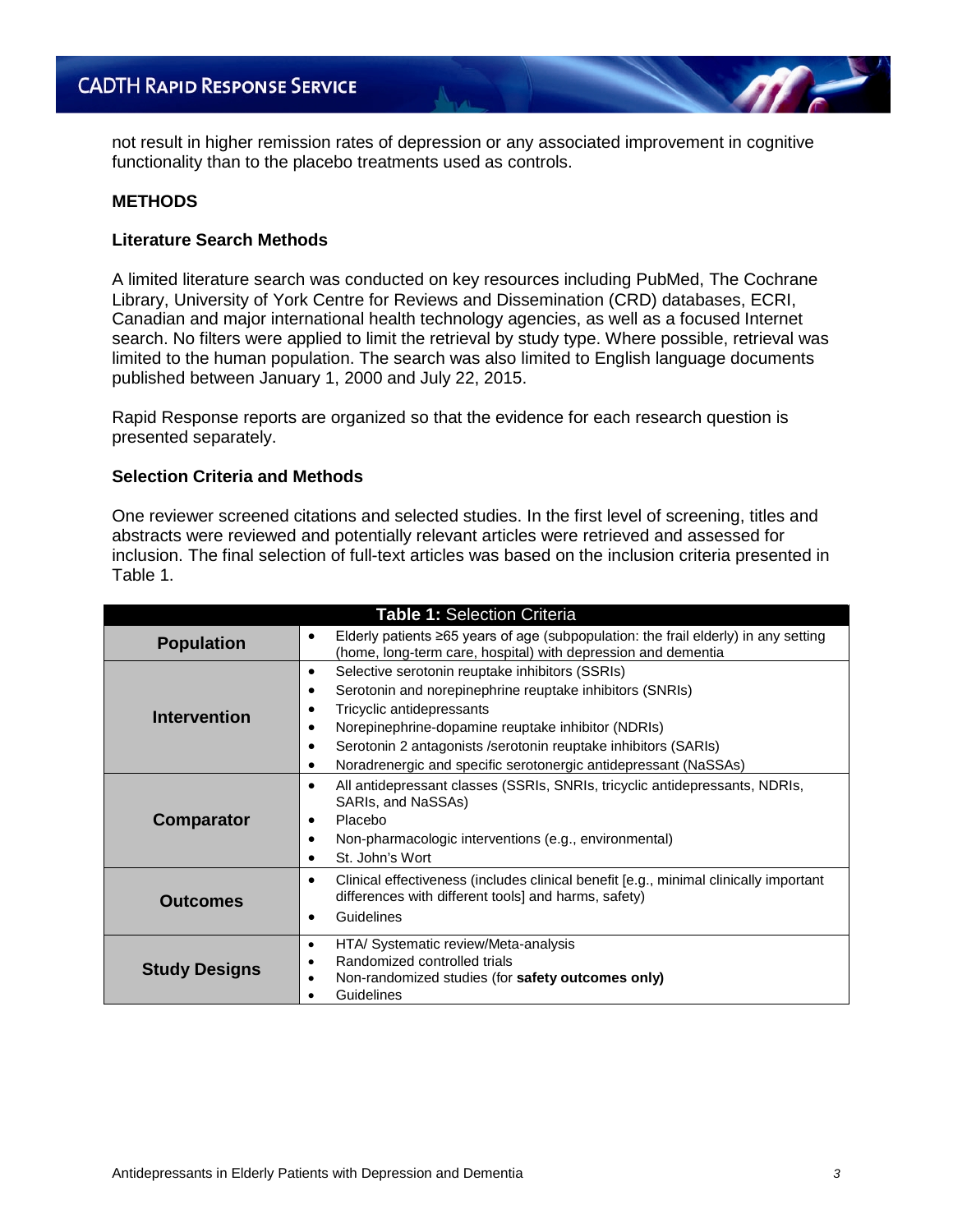not result in higher remission rates of depression or any associated improvement in cognitive functionality than to the placebo treatments used as controls.

### **METHODS**

## **Literature Search Methods**

A limited literature search was conducted on key resources including PubMed, The Cochrane Library, University of York Centre for Reviews and Dissemination (CRD) databases, ECRI, Canadian and major international health technology agencies, as well as a focused Internet search. No filters were applied to limit the retrieval by study type. Where possible, retrieval was limited to the human population. The search was also limited to English language documents published between January 1, 2000 and July 22, 2015.

Rapid Response reports are organized so that the evidence for each research question is presented separately.

## **Selection Criteria and Methods**

One reviewer screened citations and selected studies. In the first level of screening, titles and abstracts were reviewed and potentially relevant articles were retrieved and assessed for inclusion. The final selection of full-text articles was based on the inclusion criteria presented in Table 1.

| <b>Table 1: Selection Criteria</b> |                                                                                                                                                                                                                                                                                                                                           |  |  |
|------------------------------------|-------------------------------------------------------------------------------------------------------------------------------------------------------------------------------------------------------------------------------------------------------------------------------------------------------------------------------------------|--|--|
| <b>Population</b>                  | Elderly patients ≥65 years of age (subpopulation: the frail elderly) in any setting<br>$\bullet$<br>(home, long-term care, hospital) with depression and dementia                                                                                                                                                                         |  |  |
| <b>Intervention</b>                | Selective serotonin reuptake inhibitors (SSRIs)<br>Serotonin and norepinephrine reuptake inhibitors (SNRIs)<br>Tricyclic antidepressants<br>Norepinephrine-dopamine reuptake inhibitor (NDRIs)<br>Serotonin 2 antagonists / serotonin reuptake inhibitors (SARIs)<br>٠<br>Noradrenergic and specific serotonergic antidepressant (NaSSAs) |  |  |
| <b>Comparator</b>                  | All antidepressant classes (SSRIs, SNRIs, tricyclic antidepressants, NDRIs,<br>SARIs, and NaSSAs)<br>Placebo<br>Non-pharmacologic interventions (e.g., environmental)<br>St. John's Wort                                                                                                                                                  |  |  |
| <b>Outcomes</b>                    | Clinical effectiveness (includes clinical benefit [e.g., minimal clinically important<br>٠<br>differences with different tools] and harms, safety)<br>Guidelines                                                                                                                                                                          |  |  |
| <b>Study Designs</b>               | HTA/ Systematic review/Meta-analysis<br>٠<br>Randomized controlled trials<br>Non-randomized studies (for safety outcomes only)<br>Guidelines                                                                                                                                                                                              |  |  |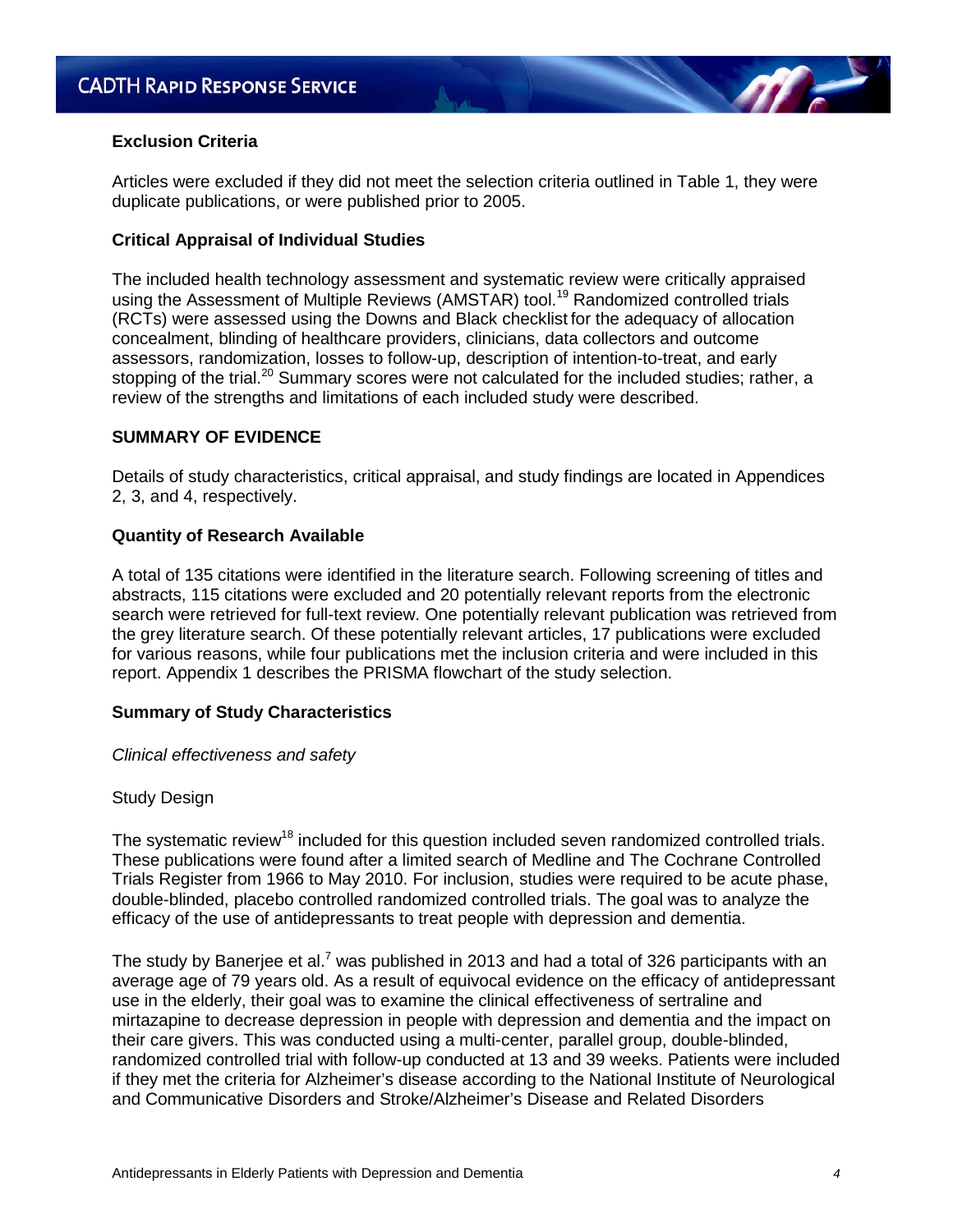# **Exclusion Criteria**

Articles were excluded if they did not meet the selection criteria outlined in Table 1, they were duplicate publications, or were published prior to 2005.

# **Critical Appraisal of Individual Studies**

The included health technology assessment and systematic review were critically appraised using the Assessment of Multiple Reviews (AMSTAR) tool.<sup>19</sup> Randomized controlled trials (RCTs) were assessed using the Downs and Black checklist for the adequacy of allocation concealment, blinding of healthcare providers, clinicians, data collectors and outcome assessors, randomization, losses to follow-up, description of intention-to-treat, and early stopping of the trial.<sup>20</sup> Summary scores were not calculated for the included studies; rather, a review of the strengths and limitations of each included study were described.

# **SUMMARY OF EVIDENCE**

Details of study characteristics, critical appraisal, and study findings are located in Appendices 2, 3, and 4, respectively.

# **Quantity of Research Available**

A total of 135 citations were identified in the literature search. Following screening of titles and abstracts, 115 citations were excluded and 20 potentially relevant reports from the electronic search were retrieved for full-text review. One potentially relevant publication was retrieved from the grey literature search. Of these potentially relevant articles, 17 publications were excluded for various reasons, while four publications met the inclusion criteria and were included in this report. Appendix 1 describes the PRISMA flowchart of the study selection.

# **Summary of Study Characteristics**

# *Clinical effectiveness and safety*

# Study Design

The systematic review<sup>18</sup> included for this question included seven randomized controlled trials. These publications were found after a limited search of Medline and The Cochrane Controlled Trials Register from 1966 to May 2010. For inclusion, studies were required to be acute phase, double-blinded, placebo controlled randomized controlled trials. The goal was to analyze the efficacy of the use of antidepressants to treat people with depression and dementia.

The study by Banerjee et al.<sup>7</sup> was published in 2013 and had a total of 326 participants with an average age of 79 years old. As a result of equivocal evidence on the efficacy of antidepressant use in the elderly, their goal was to examine the clinical effectiveness of sertraline and mirtazapine to decrease depression in people with depression and dementia and the impact on their care givers. This was conducted using a multi-center, parallel group, double-blinded, randomized controlled trial with follow-up conducted at 13 and 39 weeks. Patients were included if they met the criteria for Alzheimer's disease according to the National Institute of Neurological and Communicative Disorders and Stroke/Alzheimer's Disease and Related Disorders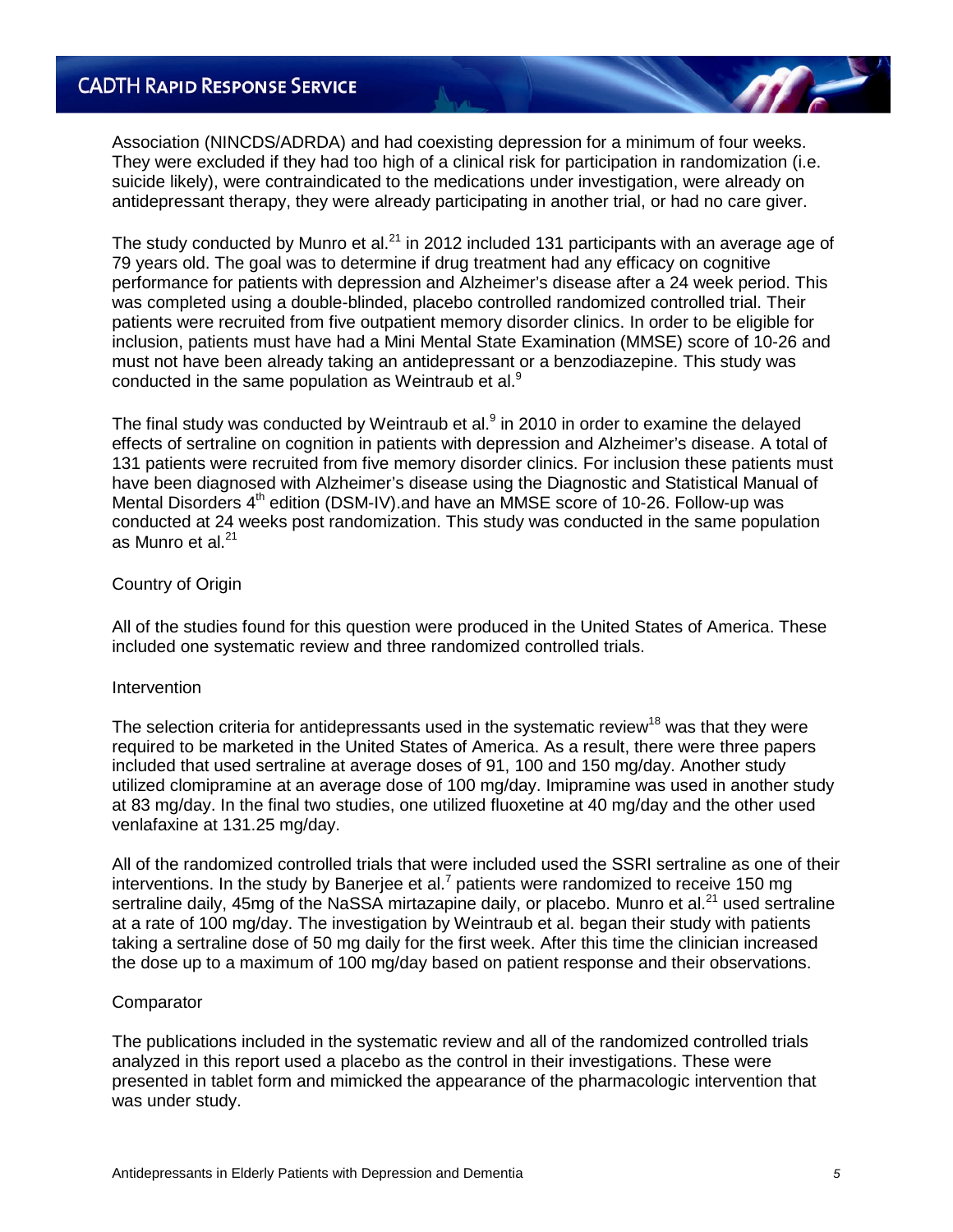Association (NINCDS/ADRDA) and had coexisting depression for a minimum of four weeks. They were excluded if they had too high of a clinical risk for participation in randomization (i.e. suicide likely), were contraindicated to the medications under investigation, were already on antidepressant therapy, they were already participating in another trial, or had no care giver.

The study conducted by Munro et al.<sup>21</sup> in 2012 included 131 participants with an average age of 79 years old. The goal was to determine if drug treatment had any efficacy on cognitive performance for patients with depression and Alzheimer's disease after a 24 week period. This was completed using a double-blinded, placebo controlled randomized controlled trial. Their patients were recruited from five outpatient memory disorder clinics. In order to be eligible for inclusion, patients must have had a Mini Mental State Examination (MMSE) score of 10-26 and must not have been already taking an antidepressant or a benzodiazepine. This study was conducted in the same population as Weintraub et al.<sup>9</sup>

The final study was conducted by Weintraub et al.<sup>9</sup> in 2010 in order to examine the delayed effects of sertraline on cognition in patients with depression and Alzheimer's disease. A total of 131 patients were recruited from five memory disorder clinics. For inclusion these patients must have been diagnosed with Alzheimer's disease using the Diagnostic and Statistical Manual of Mental Disorders  $4<sup>th</sup>$  edition (DSM-IV). and have an MMSE score of 10-26. Follow-up was conducted at 24 weeks post randomization. This study was conducted in the same population as Munro et al. $21$ 

## Country of Origin

All of the studies found for this question were produced in the United States of America. These included one systematic review and three randomized controlled trials.

#### **Intervention**

The selection criteria for antidepressants used in the systematic review<sup>18</sup> was that they were required to be marketed in the United States of America. As a result, there were three papers included that used sertraline at average doses of 91, 100 and 150 mg/day. Another study utilized clomipramine at an average dose of 100 mg/day. Imipramine was used in another study at 83 mg/day. In the final two studies, one utilized fluoxetine at 40 mg/day and the other used venlafaxine at 131.25 mg/day.

All of the randomized controlled trials that were included used the SSRI sertraline as one of their interventions. In the study by Banerjee et al.<sup>7</sup> patients were randomized to receive 150 mg sertraline daily, 45mg of the NaSSA mirtazapine daily, or placebo. Munro et al.<sup>21</sup> used sertraline at a rate of 100 mg/day. The investigation by Weintraub et al. began their study with patients taking a sertraline dose of 50 mg daily for the first week. After this time the clinician increased the dose up to a maximum of 100 mg/day based on patient response and their observations.

#### **Comparator**

The publications included in the systematic review and all of the randomized controlled trials analyzed in this report used a placebo as the control in their investigations. These were presented in tablet form and mimicked the appearance of the pharmacologic intervention that was under study.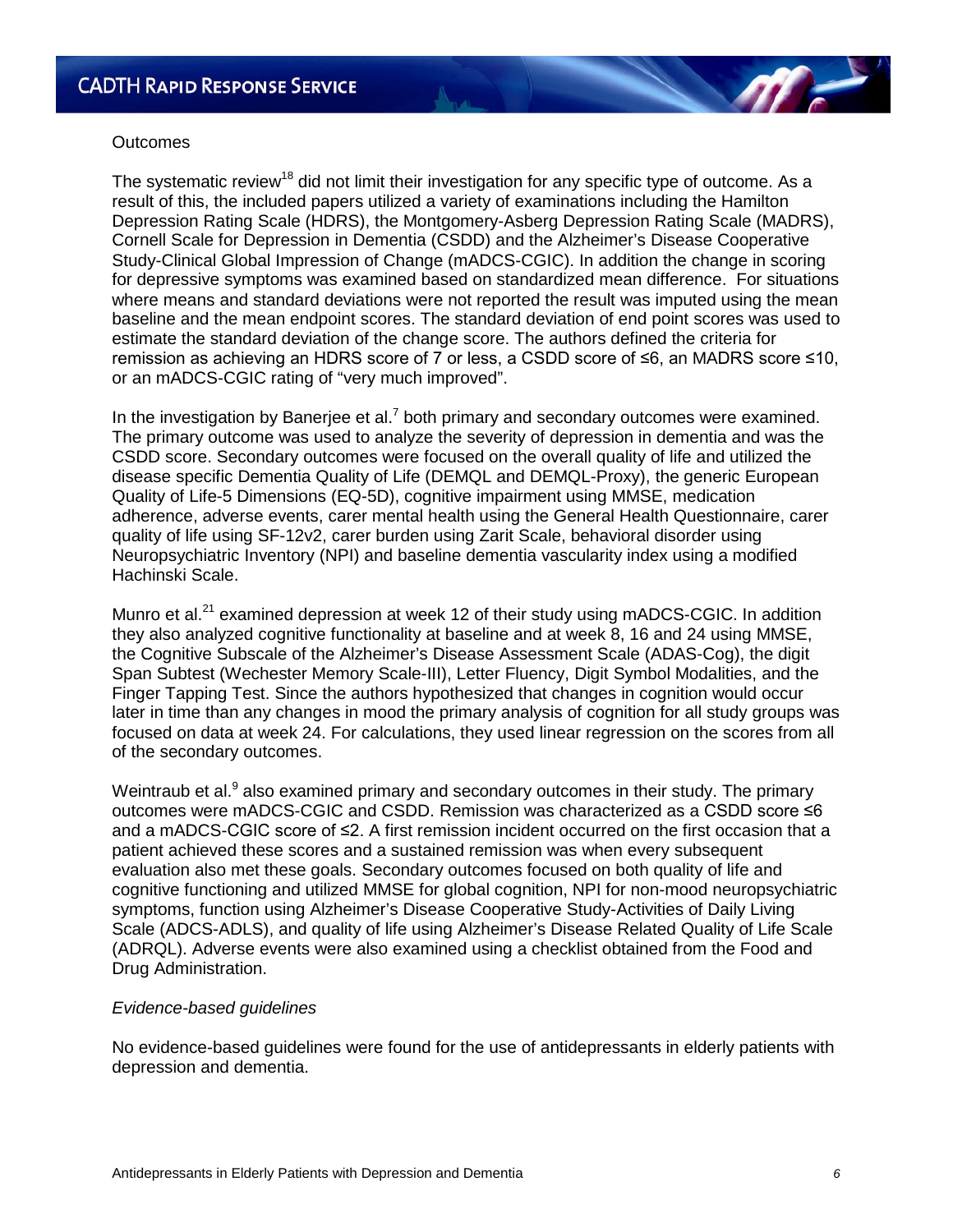# **Outcomes**

The systematic review<sup>18</sup> did not limit their investigation for any specific type of outcome. As a result of this, the included papers utilized a variety of examinations including the Hamilton Depression Rating Scale (HDRS), the Montgomery-Asberg Depression Rating Scale (MADRS), Cornell Scale for Depression in Dementia (CSDD) and the Alzheimer's Disease Cooperative Study-Clinical Global Impression of Change (mADCS-CGIC). In addition the change in scoring for depressive symptoms was examined based on standardized mean difference. For situations where means and standard deviations were not reported the result was imputed using the mean baseline and the mean endpoint scores. The standard deviation of end point scores was used to estimate the standard deviation of the change score. The authors defined the criteria for remission as achieving an HDRS score of 7 or less, a CSDD score of ≤6, an MADRS score ≤10, or an mADCS-CGIC rating of "very much improved".

In the investigation by Banerjee et al.<sup>7</sup> both primary and secondary outcomes were examined. The primary outcome was used to analyze the severity of depression in dementia and was the CSDD score. Secondary outcomes were focused on the overall quality of life and utilized the disease specific Dementia Quality of Life (DEMQL and DEMQL-Proxy), the generic European Quality of Life-5 Dimensions (EQ-5D), cognitive impairment using MMSE, medication adherence, adverse events, carer mental health using the General Health Questionnaire, carer quality of life using SF-12v2, carer burden using Zarit Scale, behavioral disorder using Neuropsychiatric Inventory (NPI) and baseline dementia vascularity index using a modified Hachinski Scale.

Munro et al.<sup>21</sup> examined depression at week 12 of their study using mADCS-CGIC. In addition they also analyzed cognitive functionality at baseline and at week 8, 16 and 24 using MMSE, the Cognitive Subscale of the Alzheimer's Disease Assessment Scale (ADAS-Cog), the digit Span Subtest (Wechester Memory Scale-III), Letter Fluency, Digit Symbol Modalities, and the Finger Tapping Test. Since the authors hypothesized that changes in cognition would occur later in time than any changes in mood the primary analysis of cognition for all study groups was focused on data at week 24. For calculations, they used linear regression on the scores from all of the secondary outcomes.

Weintraub et al.<sup>9</sup> also examined primary and secondary outcomes in their study. The primary outcomes were mADCS-CGIC and CSDD. Remission was characterized as a CSDD score ≤6 and a mADCS-CGIC score of ≤2. A first remission incident occurred on the first occasion that a patient achieved these scores and a sustained remission was when every subsequent evaluation also met these goals. Secondary outcomes focused on both quality of life and cognitive functioning and utilized MMSE for global cognition, NPI for non-mood neuropsychiatric symptoms, function using Alzheimer's Disease Cooperative Study-Activities of Daily Living Scale (ADCS-ADLS), and quality of life using Alzheimer's Disease Related Quality of Life Scale (ADRQL). Adverse events were also examined using a checklist obtained from the Food and Drug Administration.

#### *Evidence-based guidelines*

No evidence-based guidelines were found for the use of antidepressants in elderly patients with depression and dementia.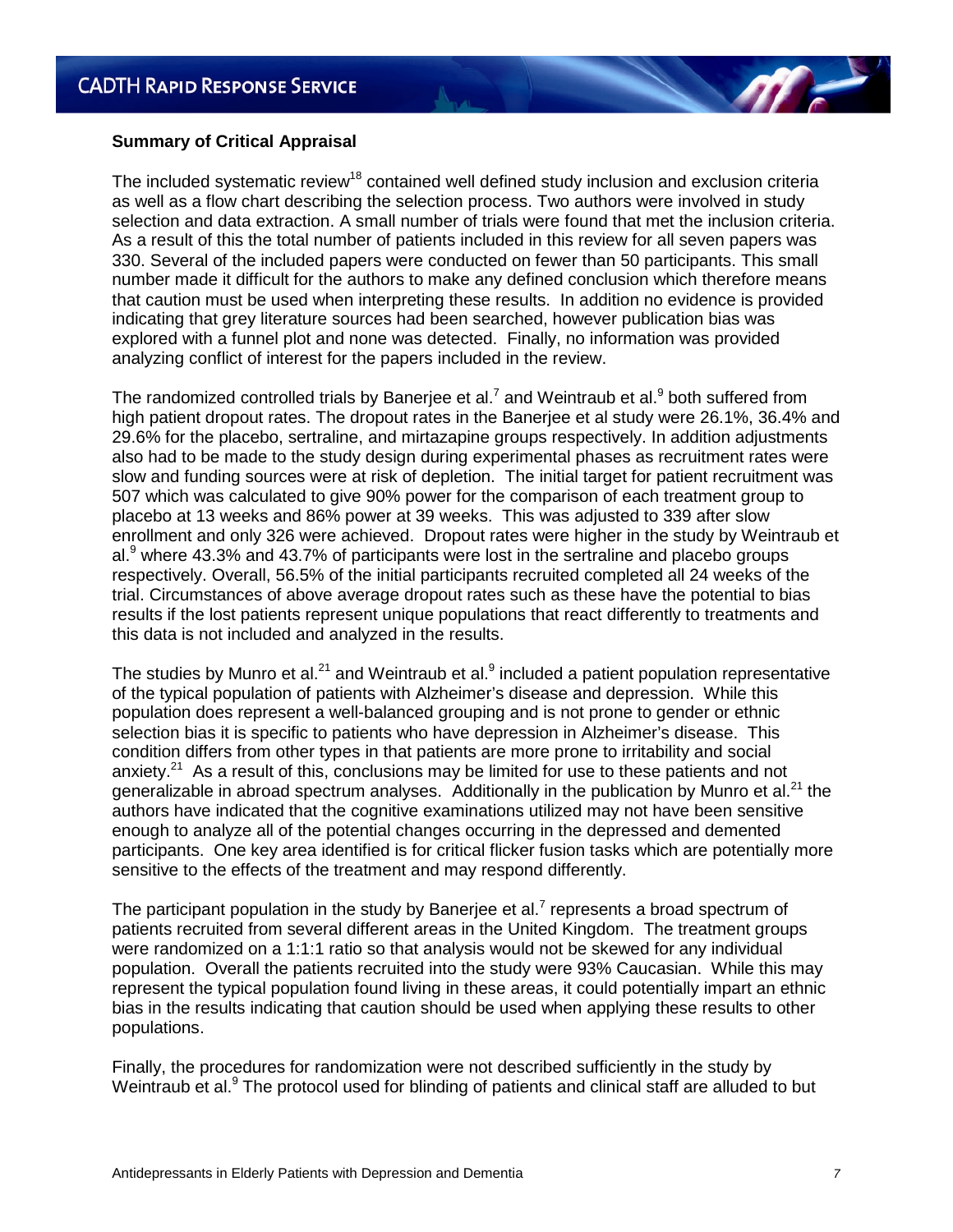

The included systematic review<sup>18</sup> contained well defined study inclusion and exclusion criteria as well as a flow chart describing the selection process. Two authors were involved in study selection and data extraction. A small number of trials were found that met the inclusion criteria. As a result of this the total number of patients included in this review for all seven papers was 330. Several of the included papers were conducted on fewer than 50 participants. This small number made it difficult for the authors to make any defined conclusion which therefore means that caution must be used when interpreting these results. In addition no evidence is provided indicating that grey literature sources had been searched, however publication bias was explored with a funnel plot and none was detected. Finally, no information was provided analyzing conflict of interest for the papers included in the review.

The randomized controlled trials by Banerjee et al.<sup>7</sup> and Weintraub et al.<sup>9</sup> both suffered from high patient dropout rates. The dropout rates in the Banerjee et al study were 26.1%, 36.4% and 29.6% for the placebo, sertraline, and mirtazapine groups respectively. In addition adjustments also had to be made to the study design during experimental phases as recruitment rates were slow and funding sources were at risk of depletion. The initial target for patient recruitment was 507 which was calculated to give 90% power for the comparison of each treatment group to placebo at 13 weeks and 86% power at 39 weeks. This was adjusted to 339 after slow enrollment and only 326 were achieved. Dropout rates were higher in the study by Weintraub et al.<sup>9</sup> where 43.3% and 43.7% of participants were lost in the sertraline and placebo groups respectively. Overall, 56.5% of the initial participants recruited completed all 24 weeks of the trial. Circumstances of above average dropout rates such as these have the potential to bias results if the lost patients represent unique populations that react differently to treatments and this data is not included and analyzed in the results.

The studies by Munro et al.<sup>21</sup> and Weintraub et al.<sup>9</sup> included a patient population representative of the typical population of patients with Alzheimer's disease and depression. While this population does represent a well-balanced grouping and is not prone to gender or ethnic selection bias it is specific to patients who have depression in Alzheimer's disease. This condition differs from other types in that patients are more prone to irritability and social anxiety.<sup>21</sup> As a result of this, conclusions may be limited for use to these patients and not generalizable in abroad spectrum analyses. Additionally in the publication by Munro et al.<sup>21</sup> the authors have indicated that the cognitive examinations utilized may not have been sensitive enough to analyze all of the potential changes occurring in the depressed and demented participants. One key area identified is for critical flicker fusion tasks which are potentially more sensitive to the effects of the treatment and may respond differently.

The participant population in the study by Banerjee et al.<sup>7</sup> represents a broad spectrum of patients recruited from several different areas in the United Kingdom. The treatment groups were randomized on a 1:1:1 ratio so that analysis would not be skewed for any individual population. Overall the patients recruited into the study were 93% Caucasian. While this may represent the typical population found living in these areas, it could potentially impart an ethnic bias in the results indicating that caution should be used when applying these results to other populations.

Finally, the procedures for randomization were not described sufficiently in the study by Weintraub et al.<sup>9</sup> The protocol used for blinding of patients and clinical staff are alluded to but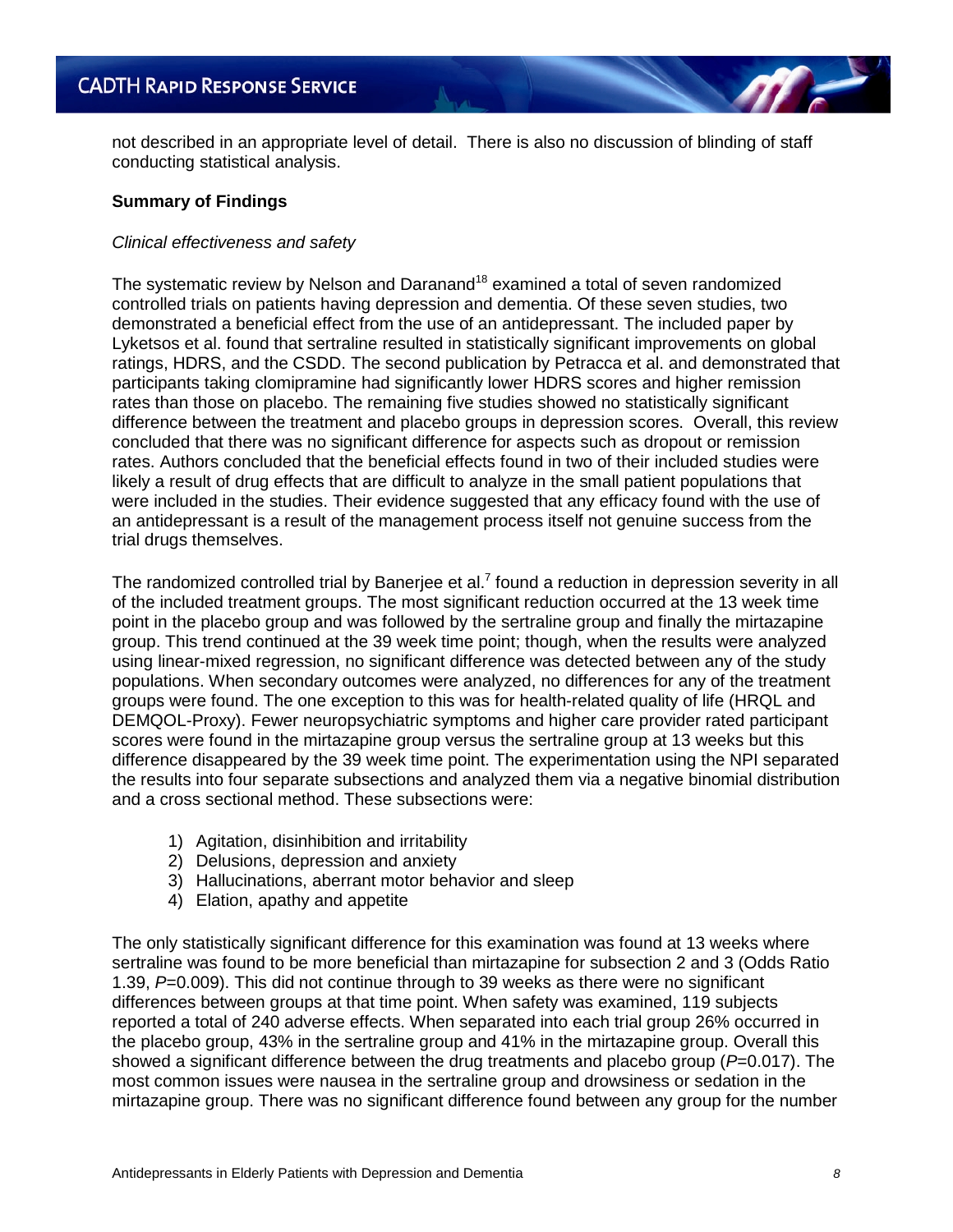not described in an appropriate level of detail. There is also no discussion of blinding of staff conducting statistical analysis.

## **Summary of Findings**

### *Clinical effectiveness and safety*

The systematic review by Nelson and Daranand<sup>18</sup> examined a total of seven randomized controlled trials on patients having depression and dementia. Of these seven studies, two demonstrated a beneficial effect from the use of an antidepressant. The included paper by Lyketsos et al. found that sertraline resulted in statistically significant improvements on global ratings, HDRS, and the CSDD. The second publication by Petracca et al. and demonstrated that participants taking clomipramine had significantly lower HDRS scores and higher remission rates than those on placebo. The remaining five studies showed no statistically significant difference between the treatment and placebo groups in depression scores. Overall, this review concluded that there was no significant difference for aspects such as dropout or remission rates. Authors concluded that the beneficial effects found in two of their included studies were likely a result of drug effects that are difficult to analyze in the small patient populations that were included in the studies. Their evidence suggested that any efficacy found with the use of an antidepressant is a result of the management process itself not genuine success from the trial drugs themselves.

The randomized controlled trial by Banerjee et al.<sup>7</sup> found a reduction in depression severity in all of the included treatment groups. The most significant reduction occurred at the 13 week time point in the placebo group and was followed by the sertraline group and finally the mirtazapine group. This trend continued at the 39 week time point; though, when the results were analyzed using linear-mixed regression, no significant difference was detected between any of the study populations. When secondary outcomes were analyzed, no differences for any of the treatment groups were found. The one exception to this was for health-related quality of life (HRQL and DEMQOL-Proxy). Fewer neuropsychiatric symptoms and higher care provider rated participant scores were found in the mirtazapine group versus the sertraline group at 13 weeks but this difference disappeared by the 39 week time point. The experimentation using the NPI separated the results into four separate subsections and analyzed them via a negative binomial distribution and a cross sectional method. These subsections were:

- 1) Agitation, disinhibition and irritability
- 2) Delusions, depression and anxiety
- 3) Hallucinations, aberrant motor behavior and sleep
- 4) Elation, apathy and appetite

The only statistically significant difference for this examination was found at 13 weeks where sertraline was found to be more beneficial than mirtazapine for subsection 2 and 3 (Odds Ratio 1.39, *P*=0.009). This did not continue through to 39 weeks as there were no significant differences between groups at that time point. When safety was examined, 119 subjects reported a total of 240 adverse effects. When separated into each trial group 26% occurred in the placebo group, 43% in the sertraline group and 41% in the mirtazapine group. Overall this showed a significant difference between the drug treatments and placebo group (*P*=0.017). The most common issues were nausea in the sertraline group and drowsiness or sedation in the mirtazapine group. There was no significant difference found between any group for the number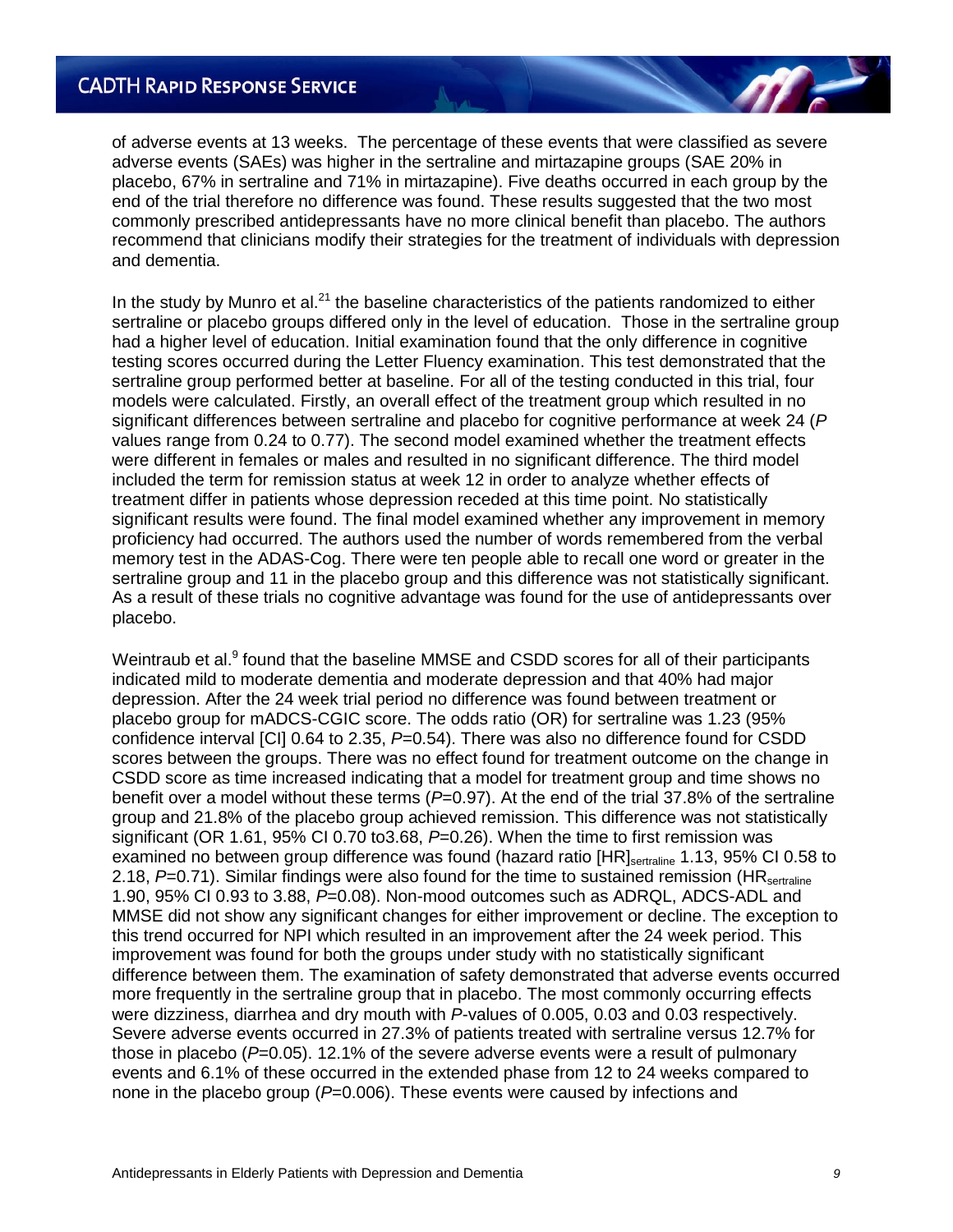of adverse events at 13 weeks. The percentage of these events that were classified as severe adverse events (SAEs) was higher in the sertraline and mirtazapine groups (SAE 20% in placebo, 67% in sertraline and 71% in mirtazapine). Five deaths occurred in each group by the end of the trial therefore no difference was found. These results suggested that the two most commonly prescribed antidepressants have no more clinical benefit than placebo. The authors recommend that clinicians modify their strategies for the treatment of individuals with depression and dementia.

In the study by Munro et al. $^{21}$  the baseline characteristics of the patients randomized to either sertraline or placebo groups differed only in the level of education. Those in the sertraline group had a higher level of education. Initial examination found that the only difference in cognitive testing scores occurred during the Letter Fluency examination. This test demonstrated that the sertraline group performed better at baseline. For all of the testing conducted in this trial, four models were calculated. Firstly, an overall effect of the treatment group which resulted in no significant differences between sertraline and placebo for cognitive performance at week 24 (*P* values range from 0.24 to 0.77). The second model examined whether the treatment effects were different in females or males and resulted in no significant difference. The third model included the term for remission status at week 12 in order to analyze whether effects of treatment differ in patients whose depression receded at this time point. No statistically significant results were found. The final model examined whether any improvement in memory proficiency had occurred. The authors used the number of words remembered from the verbal memory test in the ADAS-Cog. There were ten people able to recall one word or greater in the sertraline group and 11 in the placebo group and this difference was not statistically significant. As a result of these trials no cognitive advantage was found for the use of antidepressants over placebo.

Weintraub et al.<sup>9</sup> found that the baseline MMSE and CSDD scores for all of their participants indicated mild to moderate dementia and moderate depression and that 40% had major depression. After the 24 week trial period no difference was found between treatment or placebo group for mADCS-CGIC score. The odds ratio (OR) for sertraline was 1.23 (95% confidence interval [CI] 0.64 to 2.35, *P*=0.54). There was also no difference found for CSDD scores between the groups. There was no effect found for treatment outcome on the change in CSDD score as time increased indicating that a model for treatment group and time shows no benefit over a model without these terms (*P*=0.97). At the end of the trial 37.8% of the sertraline group and 21.8% of the placebo group achieved remission. This difference was not statistically significant (OR 1.61, 95% CI 0.70 to3.68, *P*=0.26). When the time to first remission was examined no between group difference was found (hazard ratio [HR]<sub>sertraline</sub> 1.13, 95% CI 0.58 to 2.18, *P*=0.71). Similar findings were also found for the time to sustained remission (HR<sub>sertraline</sub> 1.90, 95% CI 0.93 to 3.88, *P*=0.08). Non-mood outcomes such as ADRQL, ADCS-ADL and MMSE did not show any significant changes for either improvement or decline. The exception to this trend occurred for NPI which resulted in an improvement after the 24 week period. This improvement was found for both the groups under study with no statistically significant difference between them. The examination of safety demonstrated that adverse events occurred more frequently in the sertraline group that in placebo. The most commonly occurring effects were dizziness, diarrhea and dry mouth with *P*-values of 0.005, 0.03 and 0.03 respectively. Severe adverse events occurred in 27.3% of patients treated with sertraline versus 12.7% for those in placebo (*P*=0.05). 12.1% of the severe adverse events were a result of pulmonary events and 6.1% of these occurred in the extended phase from 12 to 24 weeks compared to none in the placebo group (*P*=0.006). These events were caused by infections and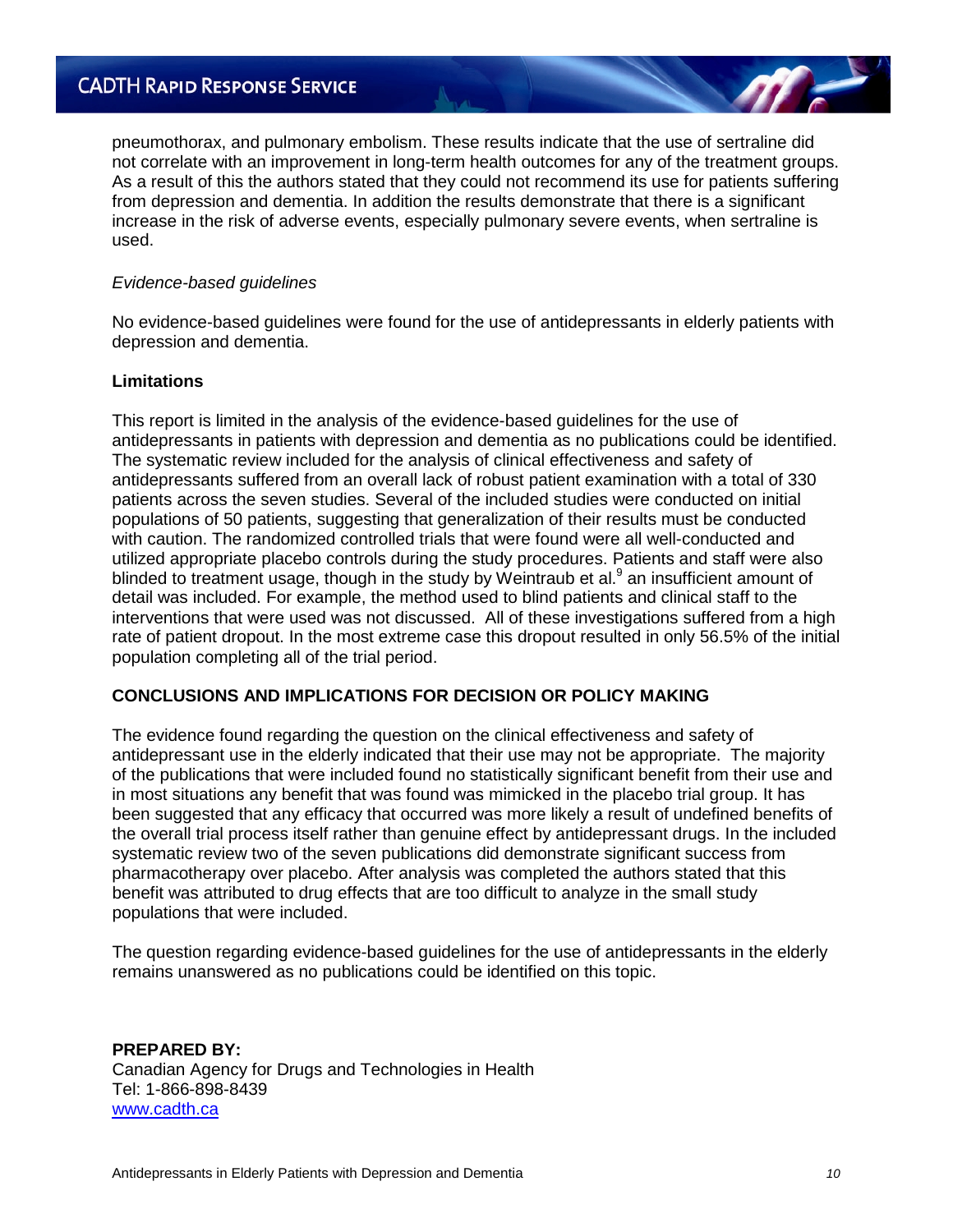pneumothorax, and pulmonary embolism. These results indicate that the use of sertraline did not correlate with an improvement in long-term health outcomes for any of the treatment groups. As a result of this the authors stated that they could not recommend its use for patients suffering from depression and dementia. In addition the results demonstrate that there is a significant increase in the risk of adverse events, especially pulmonary severe events, when sertraline is used.

### *Evidence-based guidelines*

No evidence-based guidelines were found for the use of antidepressants in elderly patients with depression and dementia.

### **Limitations**

This report is limited in the analysis of the evidence-based guidelines for the use of antidepressants in patients with depression and dementia as no publications could be identified. The systematic review included for the analysis of clinical effectiveness and safety of antidepressants suffered from an overall lack of robust patient examination with a total of 330 patients across the seven studies. Several of the included studies were conducted on initial populations of 50 patients, suggesting that generalization of their results must be conducted with caution. The randomized controlled trials that were found were all well-conducted and utilized appropriate placebo controls during the study procedures. Patients and staff were also blinded to treatment usage, though in the study by Weintraub et al.<sup>9</sup> an insufficient amount of detail was included. For example, the method used to blind patients and clinical staff to the interventions that were used was not discussed. All of these investigations suffered from a high rate of patient dropout. In the most extreme case this dropout resulted in only 56.5% of the initial population completing all of the trial period.

# **CONCLUSIONS AND IMPLICATIONS FOR DECISION OR POLICY MAKING**

The evidence found regarding the question on the clinical effectiveness and safety of antidepressant use in the elderly indicated that their use may not be appropriate. The majority of the publications that were included found no statistically significant benefit from their use and in most situations any benefit that was found was mimicked in the placebo trial group. It has been suggested that any efficacy that occurred was more likely a result of undefined benefits of the overall trial process itself rather than genuine effect by antidepressant drugs. In the included systematic review two of the seven publications did demonstrate significant success from pharmacotherapy over placebo. After analysis was completed the authors stated that this benefit was attributed to drug effects that are too difficult to analyze in the small study populations that were included.

The question regarding evidence-based guidelines for the use of antidepressants in the elderly remains unanswered as no publications could be identified on this topic.

**PREPARED BY:** Canadian Agency for Drugs and Technologies in Health Tel: 1-866-898-8439 [www.cadth.ca](http://www.cadth.ca/)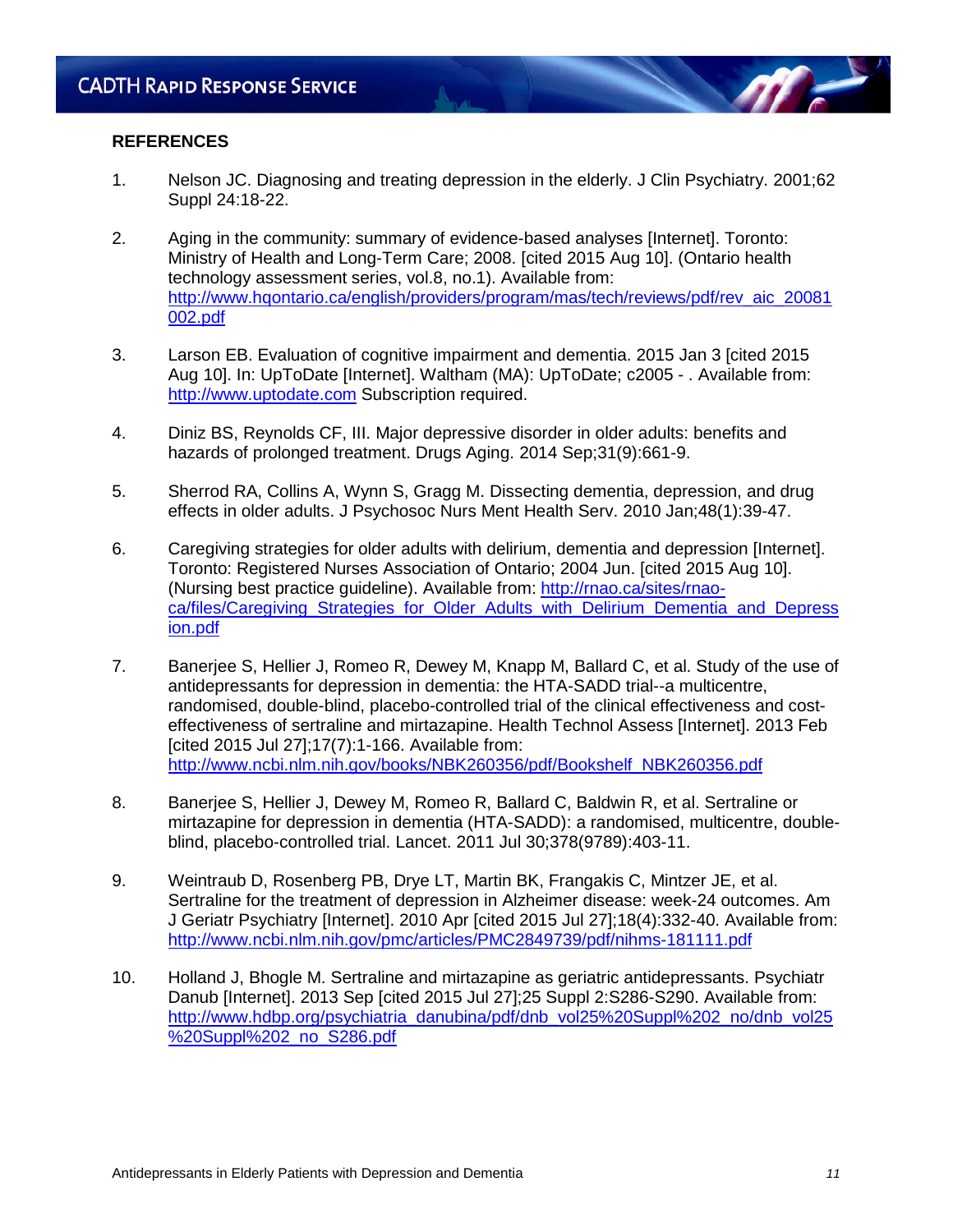# **REFERENCES**

- 1. Nelson JC. Diagnosing and treating depression in the elderly. J Clin Psychiatry. 2001;62 Suppl 24:18-22.
- 2. Aging in the community: summary of evidence-based analyses [Internet]. Toronto: Ministry of Health and Long-Term Care; 2008. [cited 2015 Aug 10]. (Ontario health technology assessment series, vol.8, no.1). Available from: [http://www.hqontario.ca/english/providers/program/mas/tech/reviews/pdf/rev\\_aic\\_20081](http://www.hqontario.ca/english/providers/program/mas/tech/reviews/pdf/rev_aic_20081002.pdf) [002.pdf](http://www.hqontario.ca/english/providers/program/mas/tech/reviews/pdf/rev_aic_20081002.pdf)
- 3. Larson EB. Evaluation of cognitive impairment and dementia. 2015 Jan 3 [cited 2015 Aug 10]. In: UpToDate [Internet]. Waltham (MA): UpToDate; c2005 - . Available from: [http://www.uptodate.com](http://www.uptodate.com/) Subscription required.
- 4. Diniz BS, Reynolds CF, III. Major depressive disorder in older adults: benefits and hazards of prolonged treatment. Drugs Aging. 2014 Sep;31(9):661-9.
- 5. Sherrod RA, Collins A, Wynn S, Gragg M. Dissecting dementia, depression, and drug effects in older adults. J Psychosoc Nurs Ment Health Serv. 2010 Jan;48(1):39-47.
- 6. Caregiving strategies for older adults with delirium, dementia and depression [Internet]. Toronto: Registered Nurses Association of Ontario; 2004 Jun. [cited 2015 Aug 10]. (Nursing best practice guideline). Available from: [http://rnao.ca/sites/rnao](http://rnao.ca/sites/rnao-ca/files/Caregiving_Strategies_for_Older_Adults_with_Delirium_Dementia_and_Depression.pdf)[ca/files/Caregiving\\_Strategies\\_for\\_Older\\_Adults\\_with\\_Delirium\\_Dementia\\_and\\_Depress](http://rnao.ca/sites/rnao-ca/files/Caregiving_Strategies_for_Older_Adults_with_Delirium_Dementia_and_Depression.pdf) [ion.pdf](http://rnao.ca/sites/rnao-ca/files/Caregiving_Strategies_for_Older_Adults_with_Delirium_Dementia_and_Depression.pdf)
- 7. Banerjee S, Hellier J, Romeo R, Dewey M, Knapp M, Ballard C, et al. Study of the use of antidepressants for depression in dementia: the HTA-SADD trial--a multicentre, randomised, double-blind, placebo-controlled trial of the clinical effectiveness and costeffectiveness of sertraline and mirtazapine. Health Technol Assess [Internet]. 2013 Feb [cited 2015 Jul 27];17(7):1-166. Available from: [http://www.ncbi.nlm.nih.gov/books/NBK260356/pdf/Bookshelf\\_NBK260356.pdf](http://www.ncbi.nlm.nih.gov/books/NBK260356/pdf/Bookshelf_NBK260356.pdf)
- 8. Banerjee S, Hellier J, Dewey M, Romeo R, Ballard C, Baldwin R, et al. Sertraline or mirtazapine for depression in dementia (HTA-SADD): a randomised, multicentre, doubleblind, placebo-controlled trial. Lancet. 2011 Jul 30;378(9789):403-11.
- 9. Weintraub D, Rosenberg PB, Drye LT, Martin BK, Frangakis C, Mintzer JE, et al. Sertraline for the treatment of depression in Alzheimer disease: week-24 outcomes. Am J Geriatr Psychiatry [Internet]. 2010 Apr [cited 2015 Jul 27];18(4):332-40. Available from: <http://www.ncbi.nlm.nih.gov/pmc/articles/PMC2849739/pdf/nihms-181111.pdf>
- 10. Holland J, Bhogle M. Sertraline and mirtazapine as geriatric antidepressants. Psychiatr Danub [Internet]. 2013 Sep [cited 2015 Jul 27];25 Suppl 2:S286-S290. Available from: [http://www.hdbp.org/psychiatria\\_danubina/pdf/dnb\\_vol25%20Suppl%202\\_no/dnb\\_vol25](http://www.hdbp.org/psychiatria_danubina/pdf/dnb_vol25%20Suppl%202_no/dnb_vol25%20Suppl%202_no_S286.pdf) [%20Suppl%202\\_no\\_S286.pdf](http://www.hdbp.org/psychiatria_danubina/pdf/dnb_vol25%20Suppl%202_no/dnb_vol25%20Suppl%202_no_S286.pdf)

**M**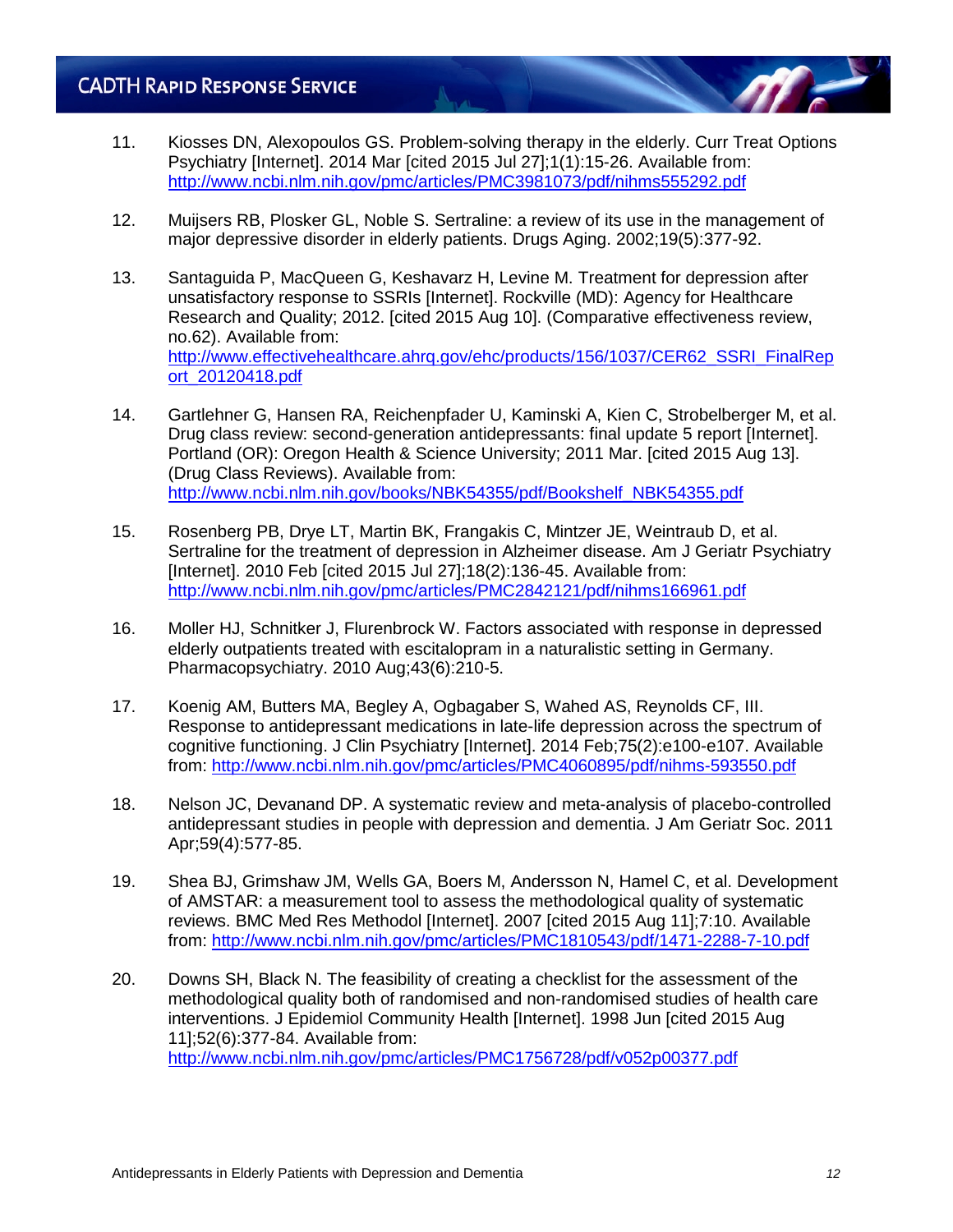- 11. Kiosses DN, Alexopoulos GS. Problem-solving therapy in the elderly. Curr Treat Options Psychiatry [Internet]. 2014 Mar [cited 2015 Jul 27];1(1):15-26. Available from: <http://www.ncbi.nlm.nih.gov/pmc/articles/PMC3981073/pdf/nihms555292.pdf>
- 12. Muijsers RB, Plosker GL, Noble S. Sertraline: a review of its use in the management of major depressive disorder in elderly patients. Drugs Aging. 2002;19(5):377-92.
- 13. Santaguida P, MacQueen G, Keshavarz H, Levine M. Treatment for depression after unsatisfactory response to SSRIs [Internet]. Rockville (MD): Agency for Healthcare Research and Quality; 2012. [cited 2015 Aug 10]. (Comparative effectiveness review, no.62). Available from: [http://www.effectivehealthcare.ahrq.gov/ehc/products/156/1037/CER62\\_SSRI\\_FinalRep](http://www.effectivehealthcare.ahrq.gov/ehc/products/156/1037/CER62_SSRI_FinalReport_20120418.pdf) [ort\\_20120418.pdf](http://www.effectivehealthcare.ahrq.gov/ehc/products/156/1037/CER62_SSRI_FinalReport_20120418.pdf)
- 14. Gartlehner G, Hansen RA, Reichenpfader U, Kaminski A, Kien C, Strobelberger M, et al. Drug class review: second-generation antidepressants: final update 5 report [Internet]. Portland (OR): Oregon Health & Science University; 2011 Mar. [cited 2015 Aug 13]. (Drug Class Reviews). Available from: [http://www.ncbi.nlm.nih.gov/books/NBK54355/pdf/Bookshelf\\_NBK54355.pdf](http://www.ncbi.nlm.nih.gov/books/NBK54355/pdf/Bookshelf_NBK54355.pdf)
- 15. Rosenberg PB, Drye LT, Martin BK, Frangakis C, Mintzer JE, Weintraub D, et al. Sertraline for the treatment of depression in Alzheimer disease. Am J Geriatr Psychiatry [Internet]. 2010 Feb [cited 2015 Jul 27];18(2):136-45. Available from: <http://www.ncbi.nlm.nih.gov/pmc/articles/PMC2842121/pdf/nihms166961.pdf>
- 16. Moller HJ, Schnitker J, Flurenbrock W. Factors associated with response in depressed elderly outpatients treated with escitalopram in a naturalistic setting in Germany. Pharmacopsychiatry. 2010 Aug;43(6):210-5.
- 17. Koenig AM, Butters MA, Begley A, Ogbagaber S, Wahed AS, Reynolds CF, III. Response to antidepressant medications in late-life depression across the spectrum of cognitive functioning. J Clin Psychiatry [Internet]. 2014 Feb;75(2):e100-e107. Available from:<http://www.ncbi.nlm.nih.gov/pmc/articles/PMC4060895/pdf/nihms-593550.pdf>
- 18. Nelson JC, Devanand DP. A systematic review and meta-analysis of placebo-controlled antidepressant studies in people with depression and dementia. J Am Geriatr Soc. 2011 Apr;59(4):577-85.
- 19. Shea BJ, Grimshaw JM, Wells GA, Boers M, Andersson N, Hamel C, et al. Development of AMSTAR: a measurement tool to assess the methodological quality of systematic reviews. BMC Med Res Methodol [Internet]. 2007 [cited 2015 Aug 11];7:10. Available from:<http://www.ncbi.nlm.nih.gov/pmc/articles/PMC1810543/pdf/1471-2288-7-10.pdf>
- 20. Downs SH, Black N. The feasibility of creating a checklist for the assessment of the methodological quality both of randomised and non-randomised studies of health care interventions. J Epidemiol Community Health [Internet]. 1998 Jun [cited 2015 Aug 11];52(6):377-84. Available from: <http://www.ncbi.nlm.nih.gov/pmc/articles/PMC1756728/pdf/v052p00377.pdf>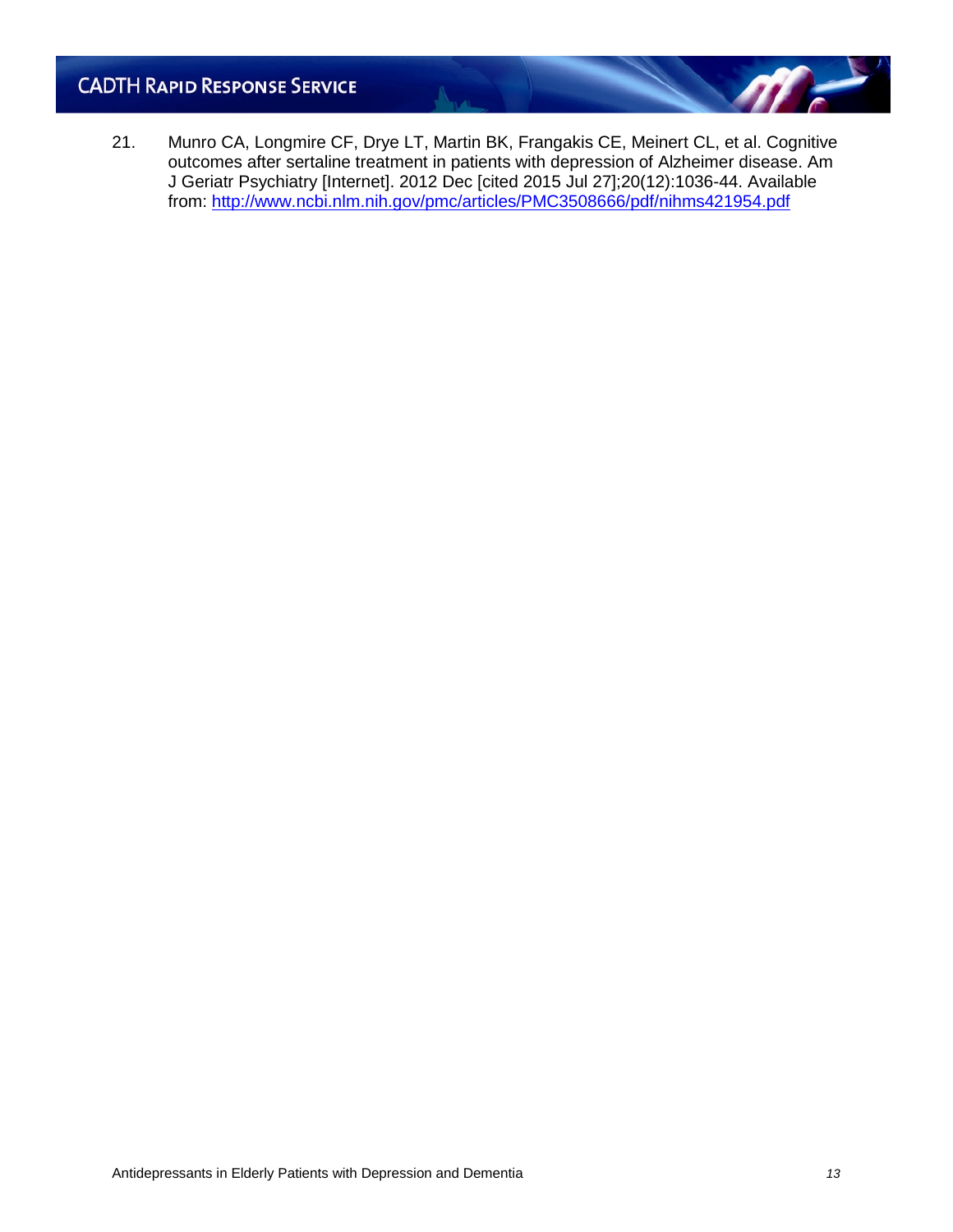21. Munro CA, Longmire CF, Drye LT, Martin BK, Frangakis CE, Meinert CL, et al. Cognitive outcomes after sertaline treatment in patients with depression of Alzheimer disease. Am J Geriatr Psychiatry [Internet]. 2012 Dec [cited 2015 Jul 27];20(12):1036-44. Available from:<http://www.ncbi.nlm.nih.gov/pmc/articles/PMC3508666/pdf/nihms421954.pdf>

**MF**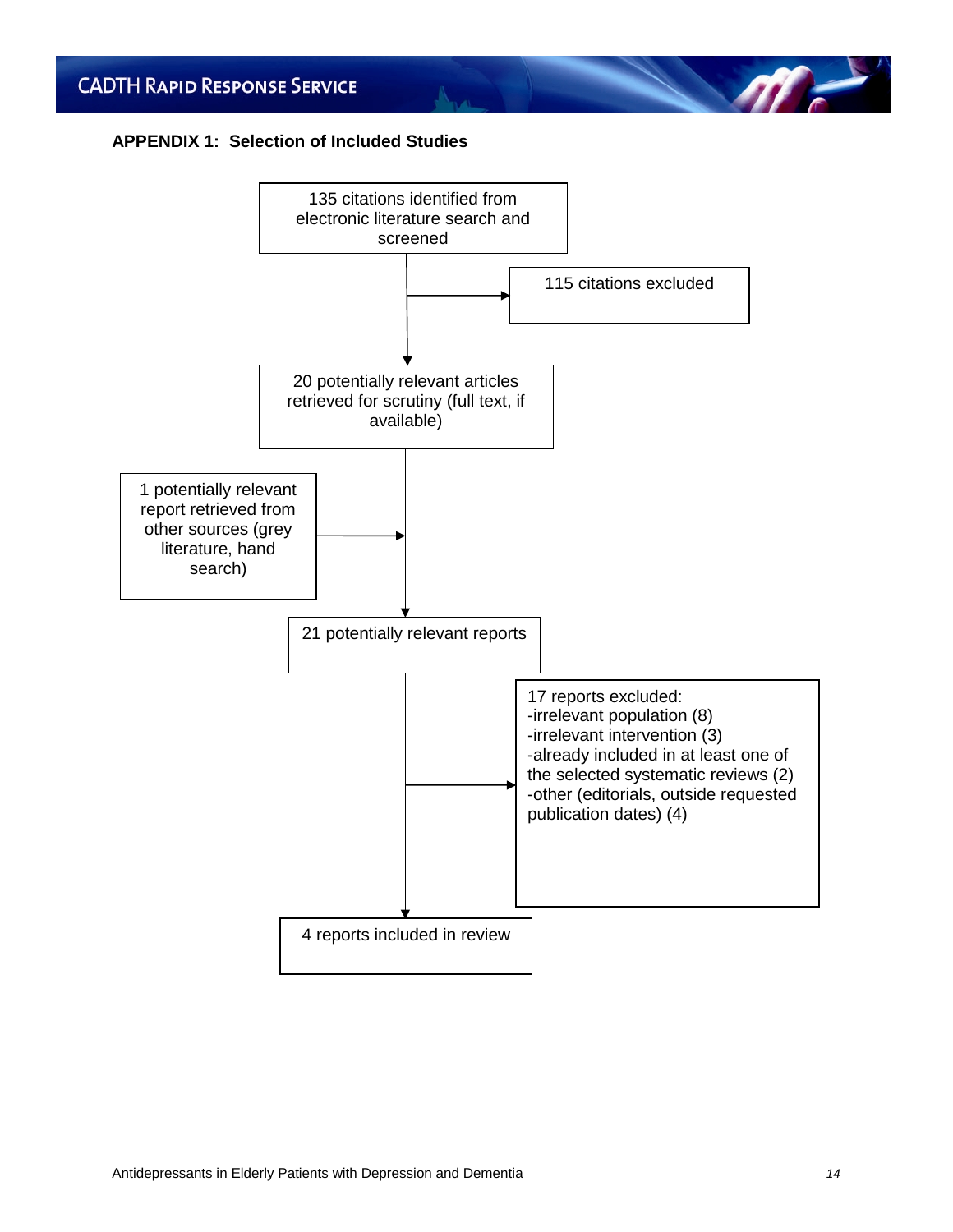# **APPENDIX 1: Selection of Included Studies**



**ME**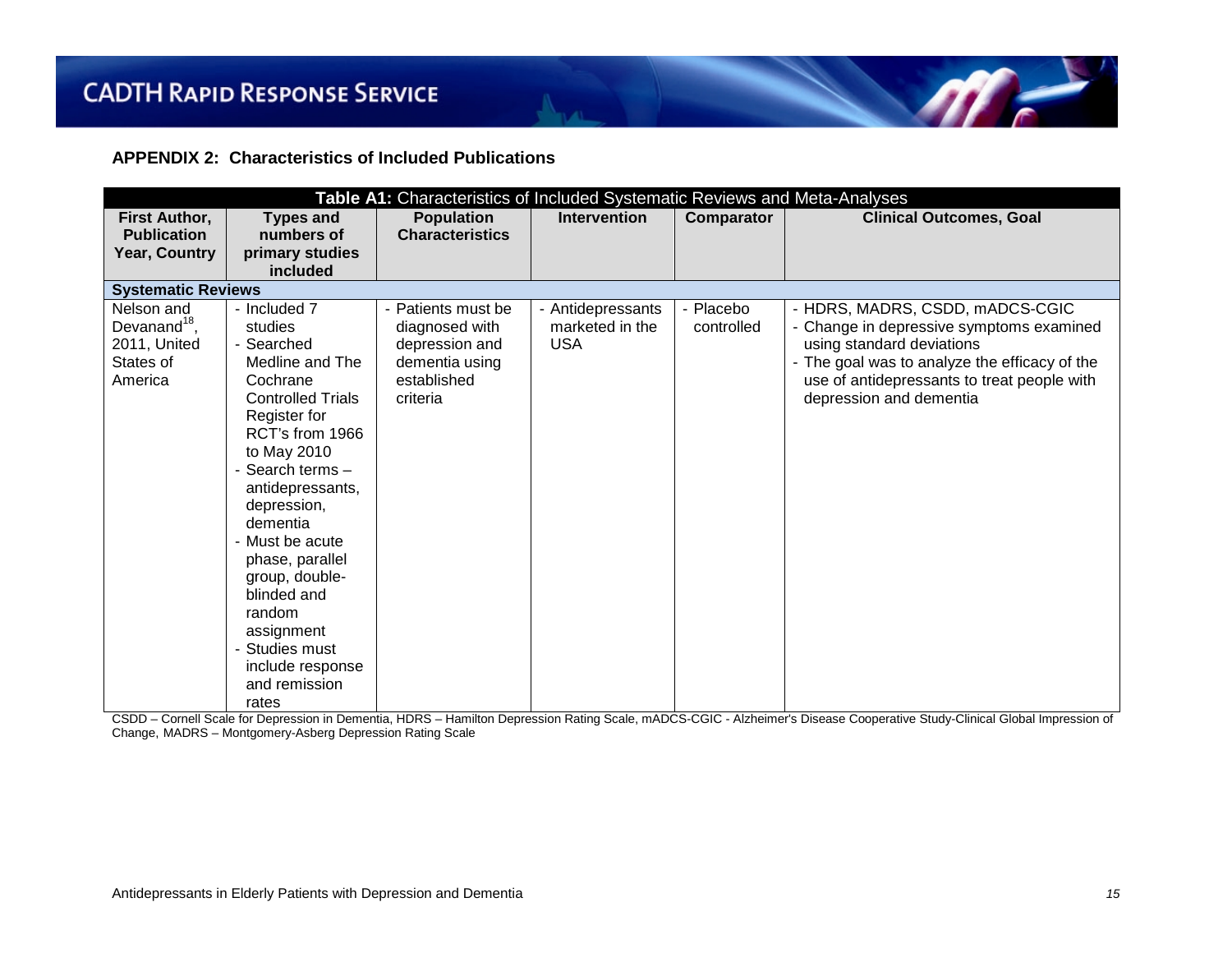**APPENDIX 2: Characteristics of Included Publications**

| Table A1: Characteristics of Included Systematic Reviews and Meta-Analyses |                          |                        |                     |            |                                               |
|----------------------------------------------------------------------------|--------------------------|------------------------|---------------------|------------|-----------------------------------------------|
| First Author,                                                              | <b>Types and</b>         | <b>Population</b>      | <b>Intervention</b> | Comparator | <b>Clinical Outcomes, Goal</b>                |
| <b>Publication</b>                                                         | numbers of               | <b>Characteristics</b> |                     |            |                                               |
| Year, Country                                                              | primary studies          |                        |                     |            |                                               |
|                                                                            | included                 |                        |                     |            |                                               |
| <b>Systematic Reviews</b>                                                  |                          |                        |                     |            |                                               |
| Nelson and                                                                 | - Included 7             | - Patients must be     | - Antidepressants   | - Placebo  | - HDRS, MADRS, CSDD, mADCS-CGIC               |
| Devanand <sup>18</sup> ,                                                   | studies                  | diagnosed with         | marketed in the     | controlled | - Change in depressive symptoms examined      |
| 2011, United                                                               | - Searched               | depression and         | <b>USA</b>          |            | using standard deviations                     |
| States of                                                                  | Medline and The          | dementia using         |                     |            | - The goal was to analyze the efficacy of the |
| America                                                                    | Cochrane                 | established            |                     |            | use of antidepressants to treat people with   |
|                                                                            | <b>Controlled Trials</b> | criteria               |                     |            | depression and dementia                       |
|                                                                            | Register for             |                        |                     |            |                                               |
|                                                                            | RCT's from 1966          |                        |                     |            |                                               |
|                                                                            | to May 2010              |                        |                     |            |                                               |
|                                                                            | - Search terms -         |                        |                     |            |                                               |
|                                                                            | antidepressants,         |                        |                     |            |                                               |
|                                                                            | depression,              |                        |                     |            |                                               |
|                                                                            | dementia                 |                        |                     |            |                                               |
|                                                                            | - Must be acute          |                        |                     |            |                                               |
|                                                                            | phase, parallel          |                        |                     |            |                                               |
|                                                                            | group, double-           |                        |                     |            |                                               |
|                                                                            | blinded and              |                        |                     |            |                                               |
|                                                                            | random                   |                        |                     |            |                                               |
|                                                                            | assignment               |                        |                     |            |                                               |
|                                                                            | Studies must             |                        |                     |            |                                               |
|                                                                            | include response         |                        |                     |            |                                               |
|                                                                            | and remission            |                        |                     |            |                                               |
|                                                                            | rates                    |                        |                     |            |                                               |

CSDD – Cornell Scale for Depression in Dementia, HDRS – Hamilton Depression Rating Scale, mADCS-CGIC - Alzheimer's Disease Cooperative Study-Clinical Global Impression of Change, MADRS – Montgomery-Asberg Depression Rating Scale

 $\eta$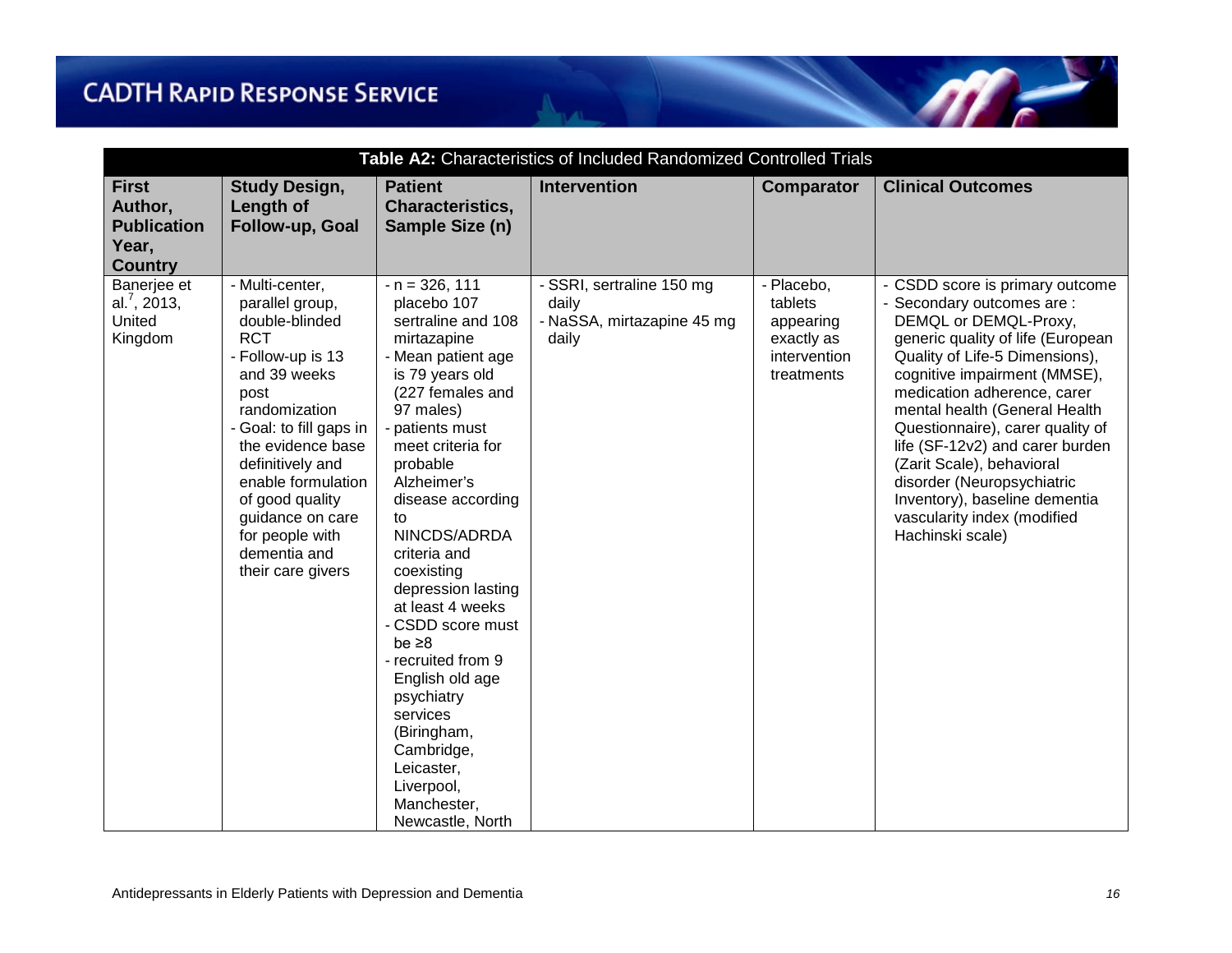| Table A2: Characteristics of Included Randomized Controlled Trials       |                                                                                                                                                                                                                                                                                                                           |                                                                                                                                                                                                                                                                                                                                                                                                                                                                                                                                         |                                                                           |                                                                                |                                                                                                                                                                                                                                                                                                                                                                                                                                                                                     |
|--------------------------------------------------------------------------|---------------------------------------------------------------------------------------------------------------------------------------------------------------------------------------------------------------------------------------------------------------------------------------------------------------------------|-----------------------------------------------------------------------------------------------------------------------------------------------------------------------------------------------------------------------------------------------------------------------------------------------------------------------------------------------------------------------------------------------------------------------------------------------------------------------------------------------------------------------------------------|---------------------------------------------------------------------------|--------------------------------------------------------------------------------|-------------------------------------------------------------------------------------------------------------------------------------------------------------------------------------------------------------------------------------------------------------------------------------------------------------------------------------------------------------------------------------------------------------------------------------------------------------------------------------|
| <b>First</b><br>Author,<br><b>Publication</b><br>Year,<br><b>Country</b> | <b>Study Design,</b><br>Length of<br>Follow-up, Goal                                                                                                                                                                                                                                                                      | <b>Patient</b><br>Characteristics,<br>Sample Size (n)                                                                                                                                                                                                                                                                                                                                                                                                                                                                                   | <b>Intervention</b>                                                       | <b>Comparator</b>                                                              | <b>Clinical Outcomes</b>                                                                                                                                                                                                                                                                                                                                                                                                                                                            |
| Banerjee et<br>al. $^7$ , 2013,<br>United<br>Kingdom                     | - Multi-center,<br>parallel group,<br>double-blinded<br><b>RCT</b><br>- Follow-up is 13<br>and 39 weeks<br>post<br>randomization<br>- Goal: to fill gaps in<br>the evidence base<br>definitively and<br>enable formulation<br>of good quality<br>guidance on care<br>for people with<br>dementia and<br>their care givers | $- n = 326, 111$<br>placebo 107<br>sertraline and 108<br>mirtazapine<br>- Mean patient age<br>is 79 years old<br>(227 females and<br>97 males)<br>- patients must<br>meet criteria for<br>probable<br>Alzheimer's<br>disease according<br>to<br>NINCDS/ADRDA<br>criteria and<br>coexisting<br>depression lasting<br>at least 4 weeks<br>- CSDD score must<br>be $\geq 8$<br>- recruited from 9<br>English old age<br>psychiatry<br>services<br>(Biringham,<br>Cambridge,<br>Leicaster,<br>Liverpool,<br>Manchester,<br>Newcastle, North | - SSRI, sertraline 150 mg<br>daily<br>- NaSSA, mirtazapine 45 mg<br>daily | - Placebo,<br>tablets<br>appearing<br>exactly as<br>intervention<br>treatments | - CSDD score is primary outcome<br>- Secondary outcomes are :<br>DEMQL or DEMQL-Proxy,<br>generic quality of life (European<br>Quality of Life-5 Dimensions),<br>cognitive impairment (MMSE),<br>medication adherence, carer<br>mental health (General Health<br>Questionnaire), carer quality of<br>life (SF-12v2) and carer burden<br>(Zarit Scale), behavioral<br>disorder (Neuropsychiatric<br>Inventory), baseline dementia<br>vascularity index (modified<br>Hachinski scale) |

 $m_{\tilde{t}}$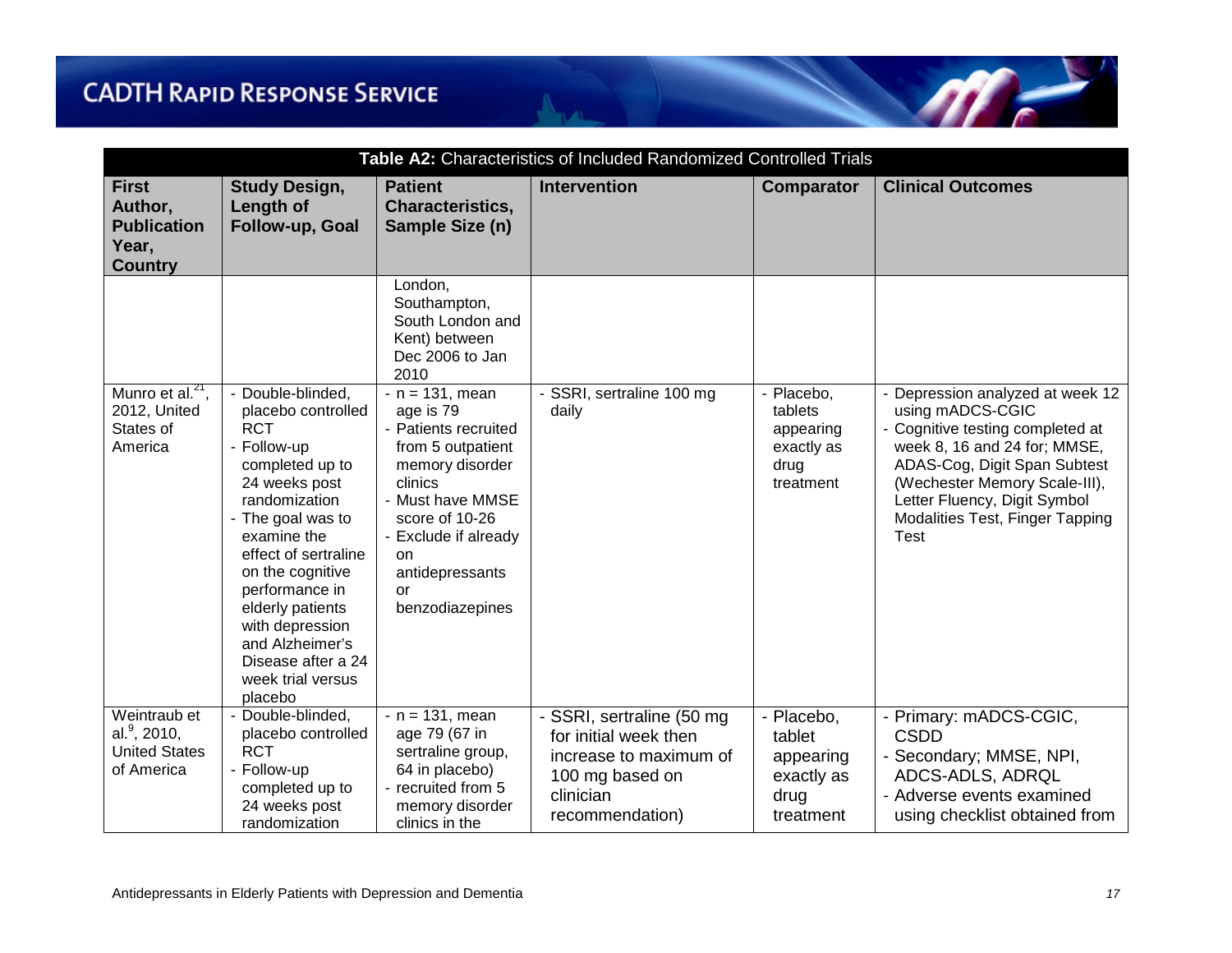| Table A2: Characteristics of Included Randomized Controlled Trials       |                                                                                                                                                                                                                                                                                                                                             |                                                                                                                                                                                                                                   |                                                                                                                                 |                                                                       |                                                                                                                                                                                                                                                                      |
|--------------------------------------------------------------------------|---------------------------------------------------------------------------------------------------------------------------------------------------------------------------------------------------------------------------------------------------------------------------------------------------------------------------------------------|-----------------------------------------------------------------------------------------------------------------------------------------------------------------------------------------------------------------------------------|---------------------------------------------------------------------------------------------------------------------------------|-----------------------------------------------------------------------|----------------------------------------------------------------------------------------------------------------------------------------------------------------------------------------------------------------------------------------------------------------------|
| <b>First</b><br>Author,<br><b>Publication</b><br>Year,<br><b>Country</b> | <b>Study Design,</b><br>Length of<br>Follow-up, Goal                                                                                                                                                                                                                                                                                        | <b>Patient</b><br><b>Characteristics,</b><br>Sample Size (n)                                                                                                                                                                      | Intervention                                                                                                                    | <b>Comparator</b>                                                     | <b>Clinical Outcomes</b>                                                                                                                                                                                                                                             |
|                                                                          |                                                                                                                                                                                                                                                                                                                                             | London,<br>Southampton,<br>South London and<br>Kent) between<br>Dec 2006 to Jan<br>2010                                                                                                                                           |                                                                                                                                 |                                                                       |                                                                                                                                                                                                                                                                      |
| Munro et al. <sup>21</sup> ,<br>2012, United<br>States of<br>America     | - Double-blinded,<br>placebo controlled<br><b>RCT</b><br>- Follow-up<br>completed up to<br>24 weeks post<br>randomization<br>- The goal was to<br>examine the<br>effect of sertraline<br>on the cognitive<br>performance in<br>elderly patients<br>with depression<br>and Alzheimer's<br>Disease after a 24<br>week trial versus<br>placebo | $- n = 131$ , mean<br>age is 79<br>- Patients recruited<br>from 5 outpatient<br>memory disorder<br>clinics<br>- Must have MMSE<br>score of 10-26<br>- Exclude if already<br>on<br>antidepressants<br><b>or</b><br>benzodiazepines | SSRI, sertraline 100 mg<br>daily                                                                                                | - Placebo,<br>tablets<br>appearing<br>exactly as<br>drug<br>treatment | - Depression analyzed at week 12<br>using mADCS-CGIC<br>- Cognitive testing completed at<br>week 8, 16 and 24 for; MMSE,<br>ADAS-Cog, Digit Span Subtest<br>(Wechester Memory Scale-III),<br>Letter Fluency, Digit Symbol<br>Modalities Test, Finger Tapping<br>Test |
| Weintraub et<br>al. $9, 2010,$<br><b>United States</b><br>of America     | - Double-blinded,<br>placebo controlled<br><b>RCT</b><br>- Follow-up<br>completed up to<br>24 weeks post<br>randomization                                                                                                                                                                                                                   | $- n = 131$ , mean<br>age 79 (67 in<br>sertraline group,<br>64 in placebo)<br>- recruited from 5<br>memory disorder<br>clinics in the                                                                                             | - SSRI, sertraline (50 mg<br>for initial week then<br>increase to maximum of<br>100 mg based on<br>clinician<br>recommendation) | - Placebo,<br>tablet<br>appearing<br>exactly as<br>drug<br>treatment  | - Primary: mADCS-CGIC,<br><b>CSDD</b><br>- Secondary; MMSE, NPI,<br>ADCS-ADLS, ADRQL<br>- Adverse events examined<br>using checklist obtained from                                                                                                                   |

m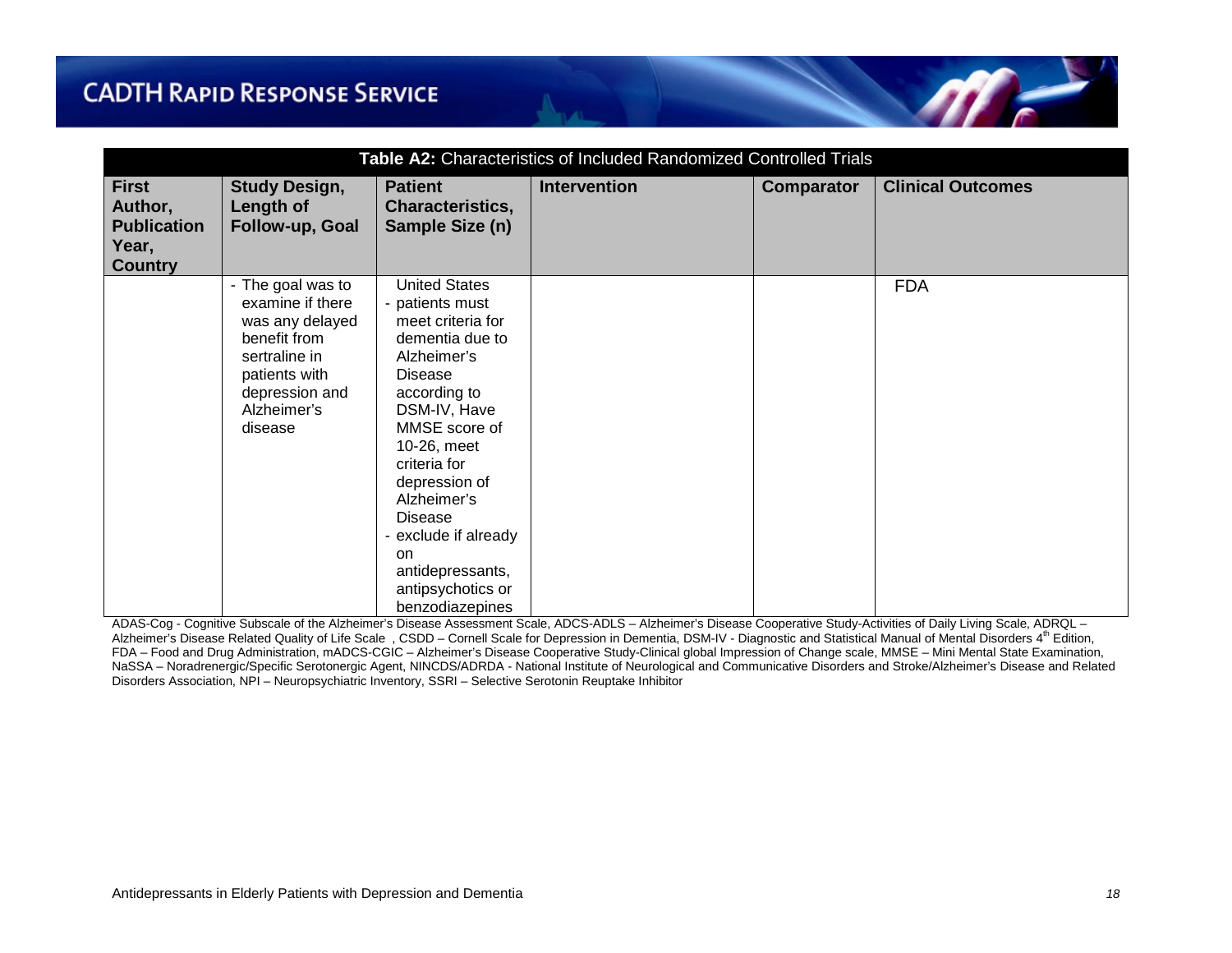| Table A2: Characteristics of Included Randomized Controlled Trials       |                                                                                                                                                        |                                                                                                                                                                                                                                                                                                                                                  |                     |            |                          |
|--------------------------------------------------------------------------|--------------------------------------------------------------------------------------------------------------------------------------------------------|--------------------------------------------------------------------------------------------------------------------------------------------------------------------------------------------------------------------------------------------------------------------------------------------------------------------------------------------------|---------------------|------------|--------------------------|
| <b>First</b><br>Author,<br><b>Publication</b><br>Year,<br><b>Country</b> | <b>Study Design,</b><br>Length of<br>Follow-up, Goal                                                                                                   | <b>Patient</b><br><b>Characteristics,</b><br>Sample Size (n)                                                                                                                                                                                                                                                                                     | <b>Intervention</b> | Comparator | <b>Clinical Outcomes</b> |
|                                                                          | - The goal was to<br>examine if there<br>was any delayed<br>benefit from<br>sertraline in<br>patients with<br>depression and<br>Alzheimer's<br>disease | <b>United States</b><br>- patients must<br>meet criteria for<br>dementia due to<br>Alzheimer's<br><b>Disease</b><br>according to<br>DSM-IV, Have<br>MMSE score of<br>10-26, meet<br>criteria for<br>depression of<br>Alzheimer's<br>Disease<br>- exclude if already<br><sub>on</sub><br>antidepressants,<br>antipsychotics or<br>benzodiazepines |                     |            | <b>FDA</b>               |

ADAS-Cog - Cognitive Subscale of the Alzheimer's Disease Assessment Scale, ADCS-ADLS – Alzheimer's Disease Cooperative Study-Activities of Daily Living Scale, ADRQL – Alzheimer's Disease Related Quality of Life Scale, CSDD – Cornell Scale for Depression in Dementia, DSM-IV - Diagnostic and Statistical Manual of Mental Disorders 4<sup>th</sup> Edition, FDA – Food and Drug Administration, mADCS-CGIC – Alzheimer's Disease Cooperative Study-Clinical global Impression of Change scale, MMSE – Mini Mental State Examination, NaSSA – Noradrenergic/Specific Serotonergic Agent, NINCDS/ADRDA - National Institute of Neurological and Communicative Disorders and Stroke/Alzheimer's Disease and Related Disorders Association, NPI – Neuropsychiatric Inventory, SSRI – Selective Serotonin Reuptake Inhibitor

 $\eta$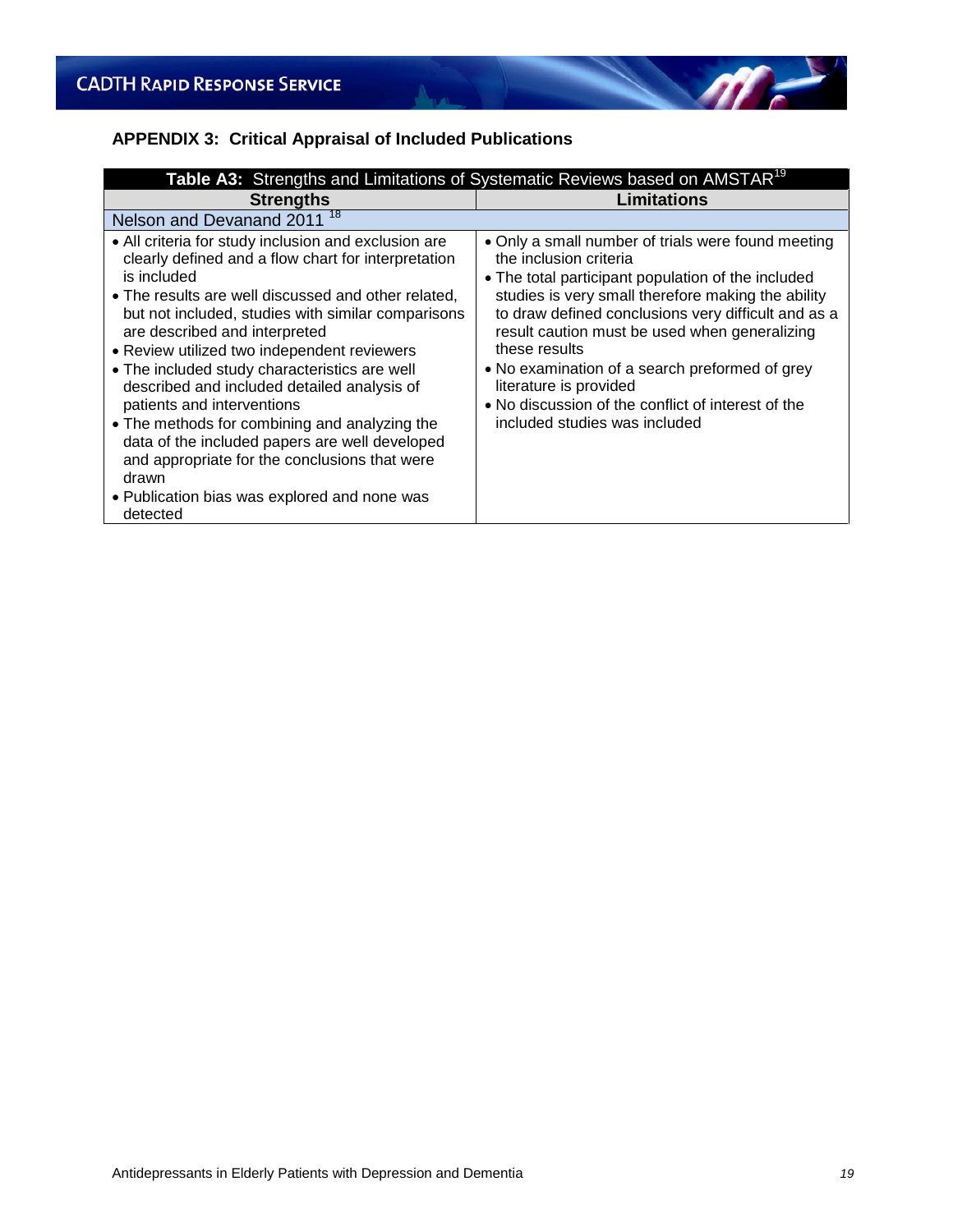# **APPENDIX 3: Critical Appraisal of Included Publications**

| Table A3: Strengths and Limitations of Systematic Reviews based on AMSTAR <sup>19</sup>                                                                                                                                                                                                                                                                                                                                                                                                                                                                                                                                                                                        |                                                                                                                                                                                                                                                                                                                                                                                                                                                                                      |  |  |
|--------------------------------------------------------------------------------------------------------------------------------------------------------------------------------------------------------------------------------------------------------------------------------------------------------------------------------------------------------------------------------------------------------------------------------------------------------------------------------------------------------------------------------------------------------------------------------------------------------------------------------------------------------------------------------|--------------------------------------------------------------------------------------------------------------------------------------------------------------------------------------------------------------------------------------------------------------------------------------------------------------------------------------------------------------------------------------------------------------------------------------------------------------------------------------|--|--|
| <b>Strengths</b>                                                                                                                                                                                                                                                                                                                                                                                                                                                                                                                                                                                                                                                               | Limitations                                                                                                                                                                                                                                                                                                                                                                                                                                                                          |  |  |
| Nelson and Devanand 2011 <sup>18</sup>                                                                                                                                                                                                                                                                                                                                                                                                                                                                                                                                                                                                                                         |                                                                                                                                                                                                                                                                                                                                                                                                                                                                                      |  |  |
| • All criteria for study inclusion and exclusion are<br>clearly defined and a flow chart for interpretation<br>is included<br>• The results are well discussed and other related,<br>but not included, studies with similar comparisons<br>are described and interpreted<br>• Review utilized two independent reviewers<br>• The included study characteristics are well<br>described and included detailed analysis of<br>patients and interventions<br>• The methods for combining and analyzing the<br>data of the included papers are well developed<br>and appropriate for the conclusions that were<br>drawn<br>• Publication bias was explored and none was<br>detected | • Only a small number of trials were found meeting<br>the inclusion criteria<br>• The total participant population of the included<br>studies is very small therefore making the ability<br>to draw defined conclusions very difficult and as a<br>result caution must be used when generalizing<br>these results<br>• No examination of a search preformed of grey<br>literature is provided<br>• No discussion of the conflict of interest of the<br>included studies was included |  |  |

 $\Lambda_{\text{max}}$ 

 $\sqrt{r}$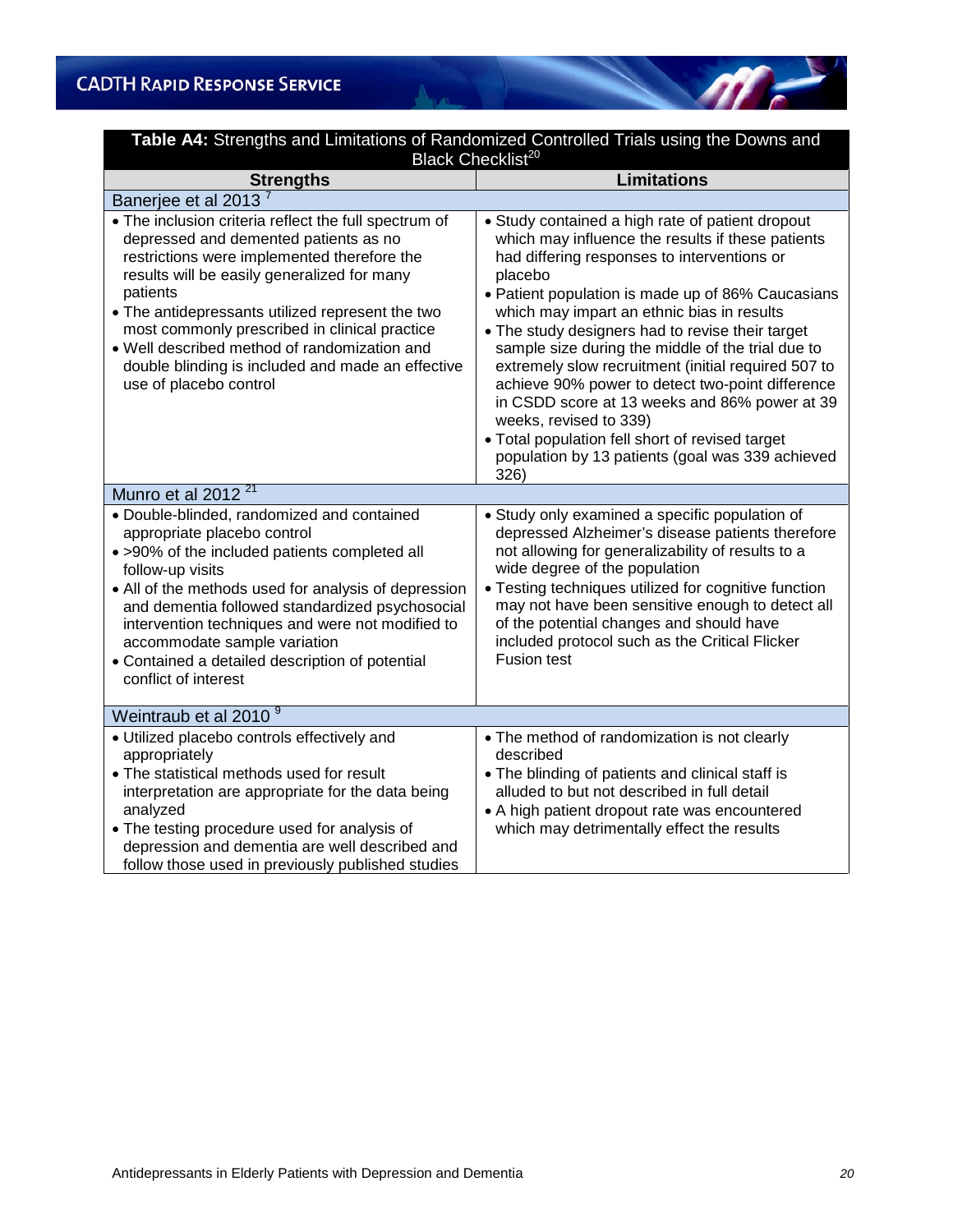| <b>Table A4:</b> Strengths and Limitations of Randomized Controlled Trials using the Downs and<br>Black Checklist <sup>20</sup>                                                                                                                                                                                                                                                                                                              |                                                                                                                                                                                                                                                                                                                                                                                                                                                                                                                                                                                                                                                                                  |  |  |  |
|----------------------------------------------------------------------------------------------------------------------------------------------------------------------------------------------------------------------------------------------------------------------------------------------------------------------------------------------------------------------------------------------------------------------------------------------|----------------------------------------------------------------------------------------------------------------------------------------------------------------------------------------------------------------------------------------------------------------------------------------------------------------------------------------------------------------------------------------------------------------------------------------------------------------------------------------------------------------------------------------------------------------------------------------------------------------------------------------------------------------------------------|--|--|--|
| <b>Strengths</b>                                                                                                                                                                                                                                                                                                                                                                                                                             | <b>Limitations</b>                                                                                                                                                                                                                                                                                                                                                                                                                                                                                                                                                                                                                                                               |  |  |  |
| Banerjee et al 2013                                                                                                                                                                                                                                                                                                                                                                                                                          |                                                                                                                                                                                                                                                                                                                                                                                                                                                                                                                                                                                                                                                                                  |  |  |  |
| . The inclusion criteria reflect the full spectrum of<br>depressed and demented patients as no<br>restrictions were implemented therefore the<br>results will be easily generalized for many<br>patients<br>. The antidepressants utilized represent the two<br>most commonly prescribed in clinical practice<br>. Well described method of randomization and<br>double blinding is included and made an effective<br>use of placebo control | • Study contained a high rate of patient dropout<br>which may influence the results if these patients<br>had differing responses to interventions or<br>placebo<br>• Patient population is made up of 86% Caucasians<br>which may impart an ethnic bias in results<br>. The study designers had to revise their target<br>sample size during the middle of the trial due to<br>extremely slow recruitment (initial required 507 to<br>achieve 90% power to detect two-point difference<br>in CSDD score at 13 weeks and 86% power at 39<br>weeks, revised to 339)<br>· Total population fell short of revised target<br>population by 13 patients (goal was 339 achieved<br>326) |  |  |  |
| Munro et al 2012 <sup>21</sup>                                                                                                                                                                                                                                                                                                                                                                                                               |                                                                                                                                                                                                                                                                                                                                                                                                                                                                                                                                                                                                                                                                                  |  |  |  |
| · Double-blinded, randomized and contained<br>appropriate placebo control<br>· >90% of the included patients completed all<br>follow-up visits<br>• All of the methods used for analysis of depression<br>and dementia followed standardized psychosocial<br>intervention techniques and were not modified to<br>accommodate sample variation<br>• Contained a detailed description of potential<br>conflict of interest                     | · Study only examined a specific population of<br>depressed Alzheimer's disease patients therefore<br>not allowing for generalizability of results to a<br>wide degree of the population<br>• Testing techniques utilized for cognitive function<br>may not have been sensitive enough to detect all<br>of the potential changes and should have<br>included protocol such as the Critical Flicker<br><b>Fusion test</b>                                                                                                                                                                                                                                                         |  |  |  |
| Weintraub et al 2010 <sup>9</sup>                                                                                                                                                                                                                                                                                                                                                                                                            |                                                                                                                                                                                                                                                                                                                                                                                                                                                                                                                                                                                                                                                                                  |  |  |  |
| · Utilized placebo controls effectively and<br>appropriately<br>• The statistical methods used for result<br>interpretation are appropriate for the data being<br>analyzed<br>• The testing procedure used for analysis of<br>depression and dementia are well described and<br>follow those used in previously published studies                                                                                                            | • The method of randomization is not clearly<br>described<br>• The blinding of patients and clinical staff is<br>alluded to but not described in full detail<br>• A high patient dropout rate was encountered<br>which may detrimentally effect the results                                                                                                                                                                                                                                                                                                                                                                                                                      |  |  |  |

M.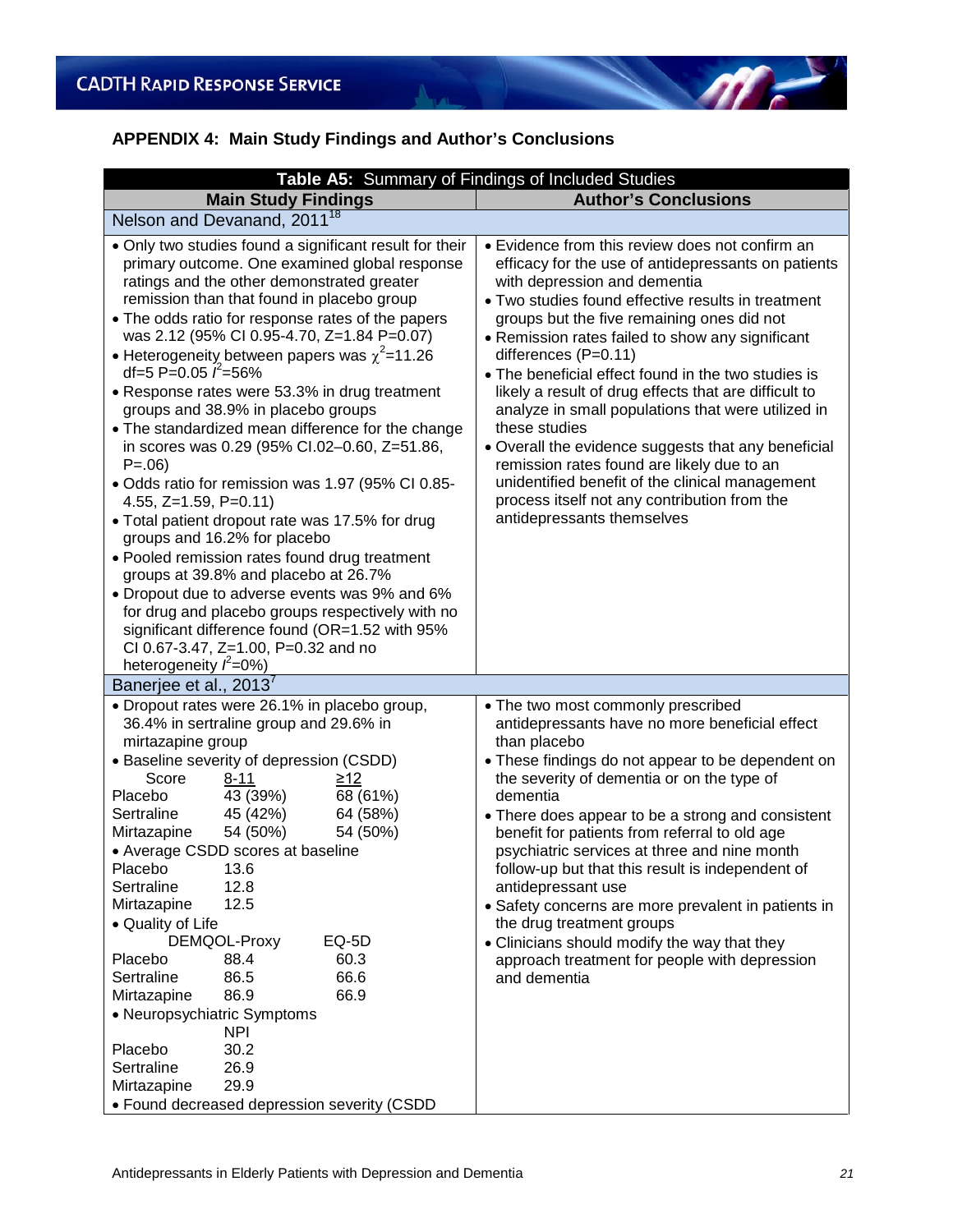# **APPENDIX 4: Main Study Findings and Author's Conclusions**

 $\Lambda_{\text{max}}$ 

|                                                                                                                                                                                                                                                                                                                                                                                                                                                                                                                                                                                                                                                                                                                                                                                                                                                                                                                                                                                                                                                                 | Table A5: Summary of Findings of Included Studies                                                                                                                                                                                                                                                                                                                                                                                                                                                                                                                                                                                                                                                                                                   |  |  |
|-----------------------------------------------------------------------------------------------------------------------------------------------------------------------------------------------------------------------------------------------------------------------------------------------------------------------------------------------------------------------------------------------------------------------------------------------------------------------------------------------------------------------------------------------------------------------------------------------------------------------------------------------------------------------------------------------------------------------------------------------------------------------------------------------------------------------------------------------------------------------------------------------------------------------------------------------------------------------------------------------------------------------------------------------------------------|-----------------------------------------------------------------------------------------------------------------------------------------------------------------------------------------------------------------------------------------------------------------------------------------------------------------------------------------------------------------------------------------------------------------------------------------------------------------------------------------------------------------------------------------------------------------------------------------------------------------------------------------------------------------------------------------------------------------------------------------------------|--|--|
| <b>Main Study Findings</b>                                                                                                                                                                                                                                                                                                                                                                                                                                                                                                                                                                                                                                                                                                                                                                                                                                                                                                                                                                                                                                      | <b>Author's Conclusions</b>                                                                                                                                                                                                                                                                                                                                                                                                                                                                                                                                                                                                                                                                                                                         |  |  |
| Nelson and Devanand, 2011 <sup>18</sup>                                                                                                                                                                                                                                                                                                                                                                                                                                                                                                                                                                                                                                                                                                                                                                                                                                                                                                                                                                                                                         |                                                                                                                                                                                                                                                                                                                                                                                                                                                                                                                                                                                                                                                                                                                                                     |  |  |
| • Only two studies found a significant result for their<br>primary outcome. One examined global response<br>ratings and the other demonstrated greater<br>remission than that found in placebo group<br>• The odds ratio for response rates of the papers<br>was 2.12 (95% CI 0.95-4.70, Z=1.84 P=0.07)<br>• Heterogeneity between papers was $\chi^2$ =11.26<br>df=5 P=0.05 $\ell$ =56%<br>• Response rates were 53.3% in drug treatment<br>groups and 38.9% in placebo groups<br>• The standardized mean difference for the change<br>in scores was 0.29 (95% CI.02-0.60, Z=51.86,<br>$P = .06$<br>· Odds ratio for remission was 1.97 (95% CI 0.85-<br>4.55, $Z=1.59$ , $P=0.11$ )<br>• Total patient dropout rate was 17.5% for drug<br>groups and 16.2% for placebo<br>• Pooled remission rates found drug treatment<br>groups at 39.8% and placebo at 26.7%<br>• Dropout due to adverse events was 9% and 6%<br>for drug and placebo groups respectively with no<br>significant difference found (OR=1.52 with 95%<br>CI 0.67-3.47, Z=1.00, P=0.32 and no | • Evidence from this review does not confirm an<br>efficacy for the use of antidepressants on patients<br>with depression and dementia<br>• Two studies found effective results in treatment<br>groups but the five remaining ones did not<br>• Remission rates failed to show any significant<br>differences (P=0.11)<br>• The beneficial effect found in the two studies is<br>likely a result of drug effects that are difficult to<br>analyze in small populations that were utilized in<br>these studies<br>• Overall the evidence suggests that any beneficial<br>remission rates found are likely due to an<br>unidentified benefit of the clinical management<br>process itself not any contribution from the<br>antidepressants themselves |  |  |
| heterogeneity $\ddot{r}$ =0%)<br>Banerjee et al., 2013                                                                                                                                                                                                                                                                                                                                                                                                                                                                                                                                                                                                                                                                                                                                                                                                                                                                                                                                                                                                          |                                                                                                                                                                                                                                                                                                                                                                                                                                                                                                                                                                                                                                                                                                                                                     |  |  |
| • Dropout rates were 26.1% in placebo group,<br>36.4% in sertraline group and 29.6% in<br>mirtazapine group<br>• Baseline severity of depression (CSDD)<br>Score<br>$8 - 11$<br>$\geq$ 12<br>43 (39%)<br>68 (61%)<br>Placebo<br>45 (42%)<br>64 (58%)<br>Sertraline<br>54 (50%)<br>54 (50%)<br>Mirtazapine<br>• Average CSDD scores at baseline<br>Placebo<br>13.6<br>Sertraline<br>12.8<br>12.5<br>Mirtazapine<br>• Quality of Life<br>DEMQOL-Proxy<br>EQ-5D<br>60.3<br>Placebo<br>88.4<br>Sertraline<br>66.6<br>86.5<br>66.9<br>Mirtazapine<br>86.9<br>• Neuropsychiatric Symptoms<br><b>NPI</b><br>Placebo<br>30.2<br>26.9<br>Sertraline<br>29.9<br>Mirtazapine<br>• Found decreased depression severity (CSDD                                                                                                                                                                                                                                                                                                                                                | • The two most commonly prescribed<br>antidepressants have no more beneficial effect<br>than placebo<br>• These findings do not appear to be dependent on<br>the severity of dementia or on the type of<br>dementia<br>• There does appear to be a strong and consistent<br>benefit for patients from referral to old age<br>psychiatric services at three and nine month<br>follow-up but that this result is independent of<br>antidepressant use<br>• Safety concerns are more prevalent in patients in<br>the drug treatment groups<br>• Clinicians should modify the way that they<br>approach treatment for people with depression<br>and dementia                                                                                            |  |  |

 $\eta$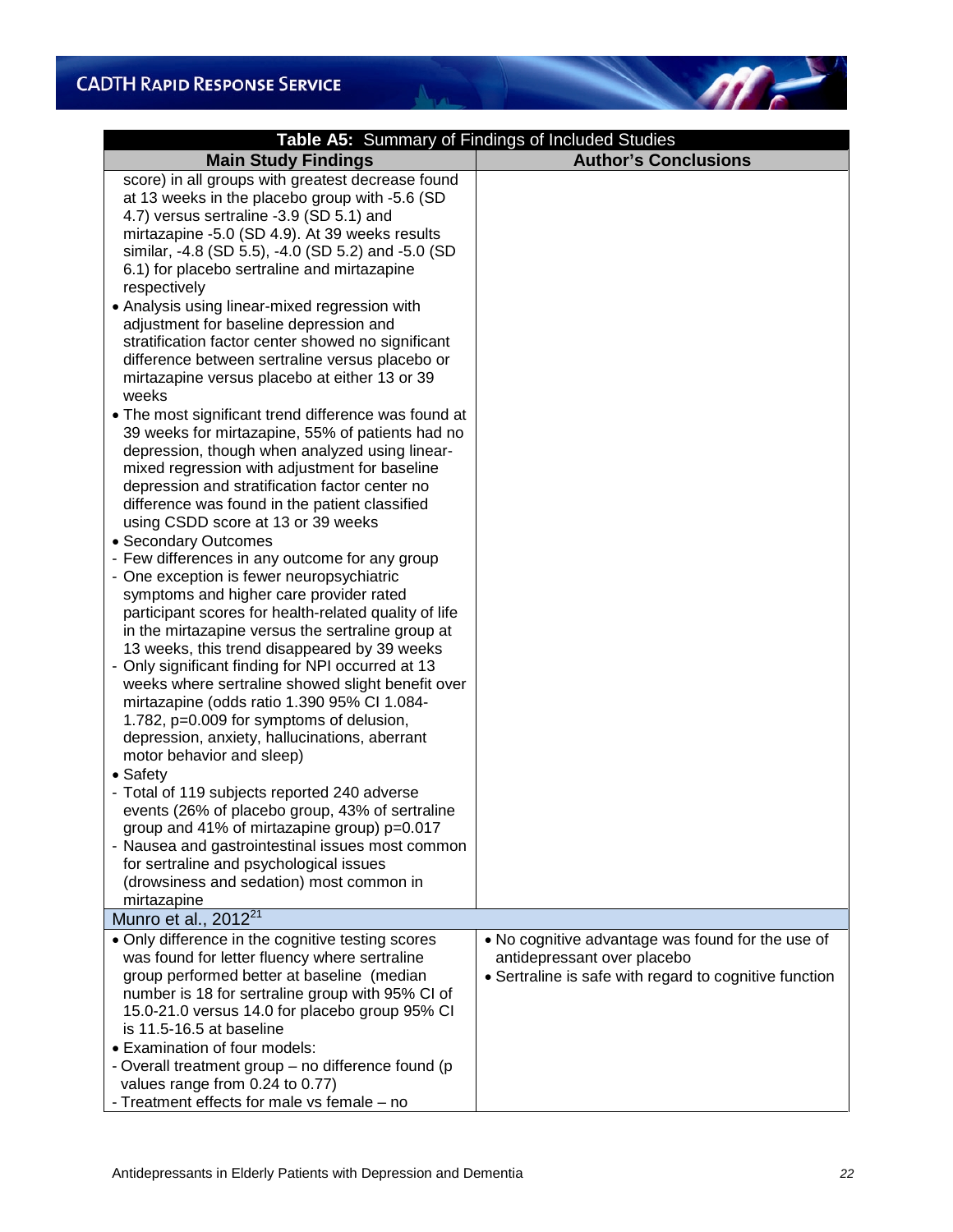| Table A5: Summary of Findings of Included Studies                                                                                                                                                                                                                                                                                                                                                                                                                                                                                                                                                                                                                                                                                                                                                                                                                                                                                                                                                                                                                                                                                                                                                                                                                                                                                                                                                                                                                                                                                                                                                                                                                                                                                                                                                                                                                         |                                                                                       |  |  |
|---------------------------------------------------------------------------------------------------------------------------------------------------------------------------------------------------------------------------------------------------------------------------------------------------------------------------------------------------------------------------------------------------------------------------------------------------------------------------------------------------------------------------------------------------------------------------------------------------------------------------------------------------------------------------------------------------------------------------------------------------------------------------------------------------------------------------------------------------------------------------------------------------------------------------------------------------------------------------------------------------------------------------------------------------------------------------------------------------------------------------------------------------------------------------------------------------------------------------------------------------------------------------------------------------------------------------------------------------------------------------------------------------------------------------------------------------------------------------------------------------------------------------------------------------------------------------------------------------------------------------------------------------------------------------------------------------------------------------------------------------------------------------------------------------------------------------------------------------------------------------|---------------------------------------------------------------------------------------|--|--|
| <b>Main Study Findings</b>                                                                                                                                                                                                                                                                                                                                                                                                                                                                                                                                                                                                                                                                                                                                                                                                                                                                                                                                                                                                                                                                                                                                                                                                                                                                                                                                                                                                                                                                                                                                                                                                                                                                                                                                                                                                                                                | <b>Author's Conclusions</b>                                                           |  |  |
| score) in all groups with greatest decrease found<br>at 13 weeks in the placebo group with -5.6 (SD<br>4.7) versus sertraline -3.9 (SD 5.1) and<br>mirtazapine -5.0 (SD 4.9). At 39 weeks results<br>similar, -4.8 (SD 5.5), -4.0 (SD 5.2) and -5.0 (SD<br>6.1) for placebo sertraline and mirtazapine<br>respectively<br>• Analysis using linear-mixed regression with<br>adjustment for baseline depression and<br>stratification factor center showed no significant<br>difference between sertraline versus placebo or<br>mirtazapine versus placebo at either 13 or 39<br>weeks<br>• The most significant trend difference was found at<br>39 weeks for mirtazapine, 55% of patients had no<br>depression, though when analyzed using linear-<br>mixed regression with adjustment for baseline<br>depression and stratification factor center no<br>difference was found in the patient classified<br>using CSDD score at 13 or 39 weeks<br>• Secondary Outcomes<br>- Few differences in any outcome for any group<br>- One exception is fewer neuropsychiatric<br>symptoms and higher care provider rated<br>participant scores for health-related quality of life<br>in the mirtazapine versus the sertraline group at<br>13 weeks, this trend disappeared by 39 weeks<br>- Only significant finding for NPI occurred at 13<br>weeks where sertraline showed slight benefit over<br>mirtazapine (odds ratio 1.390 95% CI 1.084-<br>1.782, p=0.009 for symptoms of delusion,<br>depression, anxiety, hallucinations, aberrant<br>motor behavior and sleep)<br>• Safety<br>- Total of 119 subjects reported 240 adverse<br>events (26% of placebo group, 43% of sertraline<br>group and 41% of mirtazapine group) p=0.017<br>- Nausea and gastrointestinal issues most common<br>for sertraline and psychological issues<br>(drowsiness and sedation) most common in |                                                                                       |  |  |
| mirtazapine<br>Munro et al., 2012 <sup>21</sup>                                                                                                                                                                                                                                                                                                                                                                                                                                                                                                                                                                                                                                                                                                                                                                                                                                                                                                                                                                                                                                                                                                                                                                                                                                                                                                                                                                                                                                                                                                                                                                                                                                                                                                                                                                                                                           |                                                                                       |  |  |
| • Only difference in the cognitive testing scores                                                                                                                                                                                                                                                                                                                                                                                                                                                                                                                                                                                                                                                                                                                                                                                                                                                                                                                                                                                                                                                                                                                                                                                                                                                                                                                                                                                                                                                                                                                                                                                                                                                                                                                                                                                                                         | • No cognitive advantage was found for the use of                                     |  |  |
| was found for letter fluency where sertraline<br>group performed better at baseline (median<br>number is 18 for sertraline group with 95% CI of<br>15.0-21.0 versus 14.0 for placebo group 95% CI                                                                                                                                                                                                                                                                                                                                                                                                                                                                                                                                                                                                                                                                                                                                                                                                                                                                                                                                                                                                                                                                                                                                                                                                                                                                                                                                                                                                                                                                                                                                                                                                                                                                         | antidepressant over placebo<br>• Sertraline is safe with regard to cognitive function |  |  |
| is 11.5-16.5 at baseline<br>• Examination of four models:<br>- Overall treatment group – no difference found (p<br>values range from 0.24 to 0.77)<br>- Treatment effects for male vs female - no                                                                                                                                                                                                                                                                                                                                                                                                                                                                                                                                                                                                                                                                                                                                                                                                                                                                                                                                                                                                                                                                                                                                                                                                                                                                                                                                                                                                                                                                                                                                                                                                                                                                         |                                                                                       |  |  |

And J

 $\eta$